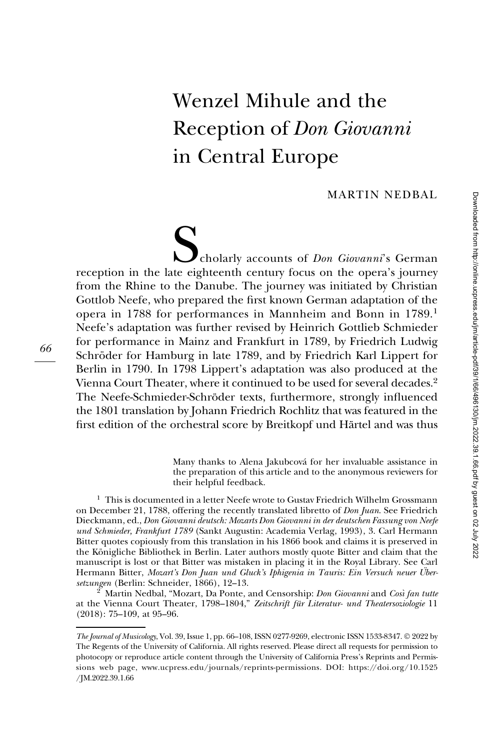# Wenzel Mihule and the Reception of Don Giovanni in Central Europe

MARTIN NEDBAL

Scholarly accounts of *Don Giovanni*'s German<br>Cholarly accounts of *Don Giovanni*'s German<br>Like Christian reception in the late eighteenth century focus on the opera's journey from the Rhine to the Danube. The journey was initiated by Christian Gottlob Neefe, who prepared the first known German adaptation of the opera in 1788 for performances in Mannheim and Bonn in 1789.<sup>1</sup> Neefe's adaptation was further revised by Heinrich Gottlieb Schmieder for performance in Mainz and Frankfurt in 1789, by Friedrich Ludwig Schröder for Hamburg in late 1789, and by Friedrich Karl Lippert for Berlin in 1790. In 1798 Lippert's adaptation was also produced at the Vienna Court Theater, where it continued to be used for several decades.<sup>2</sup> The Neefe-Schmieder-Schröder texts, furthermore, strongly influenced the 1801 translation by Johann Friedrich Rochlitz that was featured in the first edition of the orchestral score by Breitkopf und Härtel and was thus

> Many thanks to Alena Jakubcová for her invaluable assistance in the preparation of this article and to the anonymous reviewers for their helpful feedback.

 $1$  This is documented in a letter Neefe wrote to Gustav Friedrich Wilhelm Grossmann on December 21, 1788, offering the recently translated libretto of Don Juan. See Friedrich Dieckmann, ed., Don Giovanni deutsch: Mozarts Don Giovanni in der deutschen Fassung von Neefe und Schmieder, Frankfurt 1789 (Sankt Augustin: Academia Verlag, 1993), 3. Carl Hermann Bitter quotes copiously from this translation in his 1866 book and claims it is preserved in the Königliche Bibliothek in Berlin. Later authors mostly quote Bitter and claim that the manuscript is lost or that Bitter was mistaken in placing it in the Royal Library. See Carl Hermann Bitter, Mozart's Don Juan und Gluck's Iphigenia in Tauris: Ein Versuch neuer Uber-<br>setzungen (Berlin: Schneider, 1866), 12–13.

 $^2$  Martin Nedbal, "Mozart, Da Ponte, and Censorship: *Don Giovanni* and *Così fan tutte* at the Vienna Court Theater, 1798–1804," Zeitschrift für Literatur- und Theatersoziologie 11 (2018): 75–109, at 95–96.

The Journal of Musicology, Vol. 39, Issue 1, pp. 66–108, ISSN 0277-9269, electronic ISSN 1533-8347. © 2022 by The Regents of the University of California. All rights reserved. Please direct all requests for permission to photocopy or reproduce article content through the University of California Press's Reprints and Permissions web page, [www.ucpress.edu/journals/reprints-permissions](https://www.ucpress.edu/journals/reprints-permissions). [DOI: https://doi.org/10.1525](https://doi.org/10.1525 /�JM.2022.39.1.66) [/JM.2022.39.1.66](https://doi.org/10.1525 /�JM.2022.39.1.66)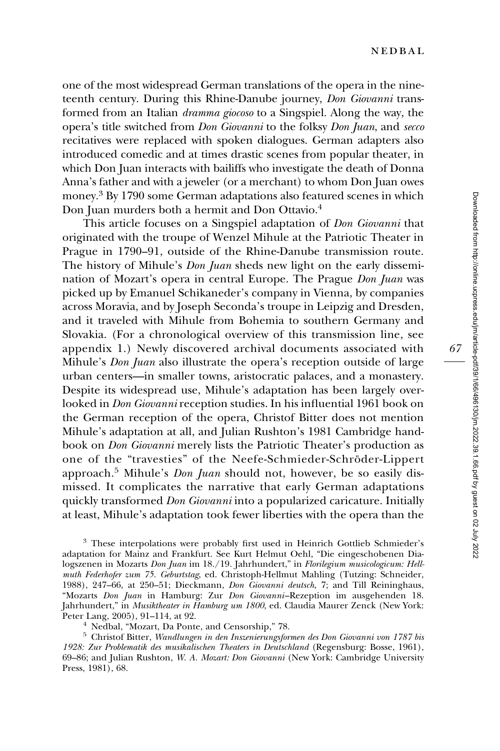one of the most widespread German translations of the opera in the nineteenth century. During this Rhine-Danube journey, Don Giovanni transformed from an Italian dramma giocoso to a Singspiel. Along the way, the opera's title switched from Don Giovanni to the folksy Don Juan, and secco recitatives were replaced with spoken dialogues. German adapters also introduced comedic and at times drastic scenes from popular theater, in which Don Juan interacts with bailiffs who investigate the death of Donna Anna's father and with a jeweler (or a merchant) to whom Don Juan owes money.3 By 1790 some German adaptations also featured scenes in which Don Juan murders both a hermit and Don Ottavio.<sup>4</sup>

This article focuses on a Singspiel adaptation of Don Giovanni that originated with the troupe of Wenzel Mihule at the Patriotic Theater in Prague in 1790–91, outside of the Rhine-Danube transmission route. The history of Mihule's Don Juan sheds new light on the early dissemination of Mozart's opera in central Europe. The Prague Don Juan was picked up by Emanuel Schikaneder's company in Vienna, by companies across Moravia, and by Joseph Seconda's troupe in Leipzig and Dresden, and it traveled with Mihule from Bohemia to southern Germany and Slovakia. (For a chronological overview of this transmission line, see appendix 1.) Newly discovered archival documents associated with Mihule's *Don Juan* also illustrate the opera's reception outside of large urban centers—in smaller towns, aristocratic palaces, and a monastery. Despite its widespread use, Mihule's adaptation has been largely overlooked in Don Giovanni reception studies. In his influential 1961 book on the German reception of the opera, Christof Bitter does not mention Mihule's adaptation at all, and Julian Rushton's 1981 Cambridge handbook on Don Giovanni merely lists the Patriotic Theater's production as one of the "travesties" of the Neefe-Schmieder-Schröder-Lippert approach.<sup>5</sup> Mihule's *Don Juan* should not, however, be so easily dismissed. It complicates the narrative that early German adaptations quickly transformed Don Giovanni into a popularized caricature. Initially at least, Mihule's adaptation took fewer liberties with the opera than the

<sup>3</sup> These interpolations were probably first used in Heinrich Gottlieb Schmieder's adaptation for Mainz and Frankfurt. See Kurt Helmut Oehl, "Die eingeschobenen Dialogszenen in Mozarts Don Juan im 18./19. Jahrhundert," in Florilegium musicologicum: Hellmuth Federhofer zum 75. Geburtstag, ed. Christoph-Hellmut Mahling (Tutzing: Schneider, 1988), 247–66, at 250–51; Dieckmann, Don Giovanni deutsch, 7; and Till Reininghaus, "Mozarts Don Juan in Hamburg: Zur Don Giovanni–Rezeption im ausgehenden 18. Jahrhundert," in *Musiktheater in Hamburg um 1800*, ed. Claudia Maurer Zenck (New York:<br>Peter Lang, 2005), 91–114, at 92.

<sup>4</sup> Nedbal, "Mozart, Da Ponte, and Censorship," 78.<br><sup>5</sup> Christof Bitter, Wandlungen in den Inszenierungsformen des Don Giovanni von 1787 bis 1928: Zur Problematik des musikalischen Theaters in Deutschland (Regensburg: Bosse, 1961), 69–86; and Julian Rushton, W. A. Mozart: Don Giovanni (New York: Cambridge University Press, 1981), 68.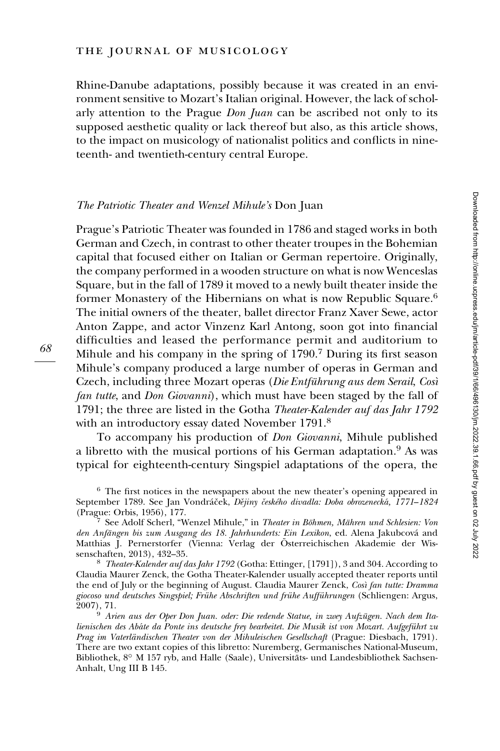Rhine-Danube adaptations, possibly because it was created in an environment sensitive to Mozart's Italian original. However, the lack of scholarly attention to the Prague *Don Juan* can be ascribed not only to its supposed aesthetic quality or lack thereof but also, as this article shows, to the impact on musicology of nationalist politics and conflicts in nineteenth- and twentieth-century central Europe.

#### The Patriotic Theater and Wenzel Mihule's Don Juan

Prague's Patriotic Theater was founded in 1786 and staged works in both German and Czech, in contrast to other theater troupes in the Bohemian capital that focused either on Italian or German repertoire. Originally, the company performed in a wooden structure on what is now Wenceslas Square, but in the fall of 1789 it moved to a newly built theater inside the former Monastery of the Hibernians on what is now Republic Square.<sup>6</sup> The initial owners of the theater, ballet director Franz Xaver Sewe, actor Anton Zappe, and actor Vinzenz Karl Antong, soon got into financial difficulties and leased the performance permit and auditorium to Mihule and his company in the spring of 1790.<sup>7</sup> During its first season Mihule's company produced a large number of operas in German and Czech, including three Mozart operas (Die Entführung aus dem Serail, Così fan tutte, and Don Giovanni), which must have been staged by the fall of 1791; the three are listed in the Gotha Theater-Kalender auf das Jahr 1792 with an introductory essay dated November 1791.<sup>8</sup>

To accompany his production of Don Giovanni, Mihule published a libretto with the musical portions of his German adaptation.<sup>9</sup> As was typical for eighteenth-century Singspiel adaptations of the opera, the

<sup>8</sup> Theater-Kalender auf das Jahr 1792 (Gotha: Ettinger, [1791]), 3 and 304. According to Claudia Maurer Zenck, the Gotha Theater-Kalender usually accepted theater reports until the end of July or the beginning of August. Claudia Maurer Zenck, Così fan tutte: Dramma giocoso und deutsches Singspiel; Frühe Abschriften und frühe Aufführungen (Schliengen: Argus, 2007), 71.

<sup>&</sup>lt;sup>6</sup> The first notices in the newspapers about the new theater's opening appeared in September 1789. See Jan Vondráček, Dějiny českého divadla: Doba obrozenecká, 1771–1824 (Prague: Orbis, 1956), 177.<br><sup>7</sup> See Adolf Scherl, "Wenzel Mihule," in *Theater in Böhmen, Mähren und Schlesien: Von* 

den Anfängen bis zum Ausgang des 18. Jahrhunderts: Ein Lexikon, ed. Alena Jakubcová and Matthias J. Pernerstorfer (Vienna: Verlag der Österreichischen Akademie der Wissenschaften, 2013), 432–35.

 $20^9$  Arien aus der Oper Don Juan. oder: Die redende Statue, in zwey Aufzügen. Nach dem Italienischen des Abate da Ponte ins deutsche frey bearbeitet. Die Musik ist von Mozart. Aufgeführt zu Prag im Vaterländischen Theater von der Mihuleischen Gesellschaft (Prague: Diesbach, 1791). There are two extant copies of this libretto: Nuremberg, Germanisches National-Museum, Bibliothek, 8° M 157 ryb, and Halle (Saale), Universitäts- und Landesbibliothek Sachsen-Anhalt, Ung III B 145.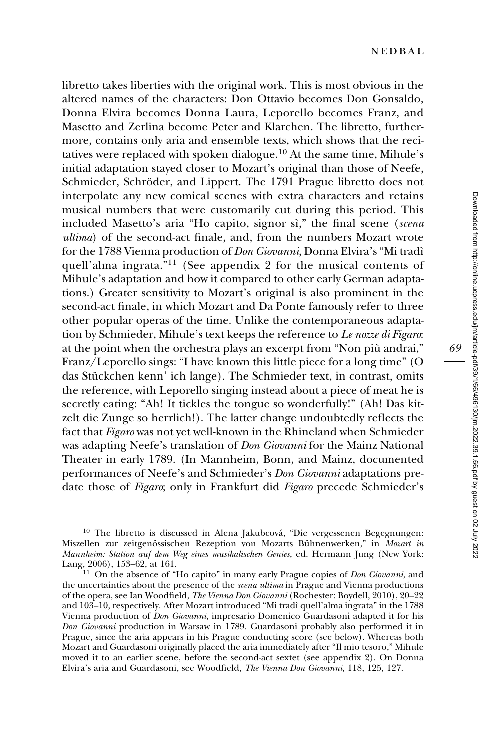libretto takes liberties with the original work. This is most obvious in the altered names of the characters: Don Ottavio becomes Don Gonsaldo, Donna Elvira becomes Donna Laura, Leporello becomes Franz, and Masetto and Zerlina become Peter and Klarchen. The libretto, furthermore, contains only aria and ensemble texts, which shows that the recitatives were replaced with spoken dialogue.<sup>10</sup> At the same time, Mihule's initial adaptation stayed closer to Mozart's original than those of Neefe, Schmieder, Schröder, and Lippert. The 1791 Prague libretto does not interpolate any new comical scenes with extra characters and retains musical numbers that were customarily cut during this period. This included Masetto's aria "Ho capito, signor sì," the final scene (scena ultima) of the second-act finale, and, from the numbers Mozart wrote for the 1788 Vienna production of *Don Giovanni*, Donna Elvira's "Mi tradì quell'alma ingrata."<sup>11</sup> (See appendix 2 for the musical contents of Mihule's adaptation and how it compared to other early German adaptations.) Greater sensitivity to Mozart's original is also prominent in the second-act finale, in which Mozart and Da Ponte famously refer to three other popular operas of the time. Unlike the contemporaneous adaptation by Schmieder, Mihule's text keeps the reference to Le nozze di Figaro: at the point when the orchestra plays an excerpt from "Non piu` andrai," Franz/Leporello sings: "I have known this little piece for a long time" (O das Stückchen kenn' ich lange). The Schmieder text, in contrast, omits the reference, with Leporello singing instead about a piece of meat he is secretly eating: "Ah! It tickles the tongue so wonderfully!" (Ah! Das kitzelt die Zunge so herrlich!). The latter change undoubtedly reflects the fact that Figaro was not yet well-known in the Rhineland when Schmieder was adapting Neefe's translation of Don Giovanni for the Mainz National Theater in early 1789. (In Mannheim, Bonn, and Mainz, documented performances of Neefe's and Schmieder's Don Giovanni adaptations predate those of Figaro; only in Frankfurt did Figaro precede Schmieder's

<sup>10</sup> The libretto is discussed in Alena Jakubcová, "Die vergessenen Begegnungen: Miszellen zur zeitgenössischen Rezeption von Mozarts Bühnenwerken," in Mozart in Mannheim: Station auf dem Weg eines musikalischen Genies, ed. Hermann Jung (New York:

 $11$  On the absence of "Ho capito" in many early Prague copies of Don Giovanni, and the uncertainties about the presence of the scena ultima in Prague and Vienna productions of the opera, see Ian Woodfield, The Vienna Don Giovanni (Rochester: Boydell, 2010), 20–22 and 103–10, respectively. After Mozart introduced "Mi tradì quell'alma ingrata" in the 1788 Vienna production of Don Giovanni, impresario Domenico Guardasoni adapted it for his Don Giovanni production in Warsaw in 1789. Guardasoni probably also performed it in Prague, since the aria appears in his Prague conducting score (see below). Whereas both Mozart and Guardasoni originally placed the aria immediately after "Il mio tesoro," Mihule moved it to an earlier scene, before the second-act sextet (see appendix 2). On Donna Elvira's aria and Guardasoni, see Woodfield, The Vienna Don Giovanni, 118, 125, 127.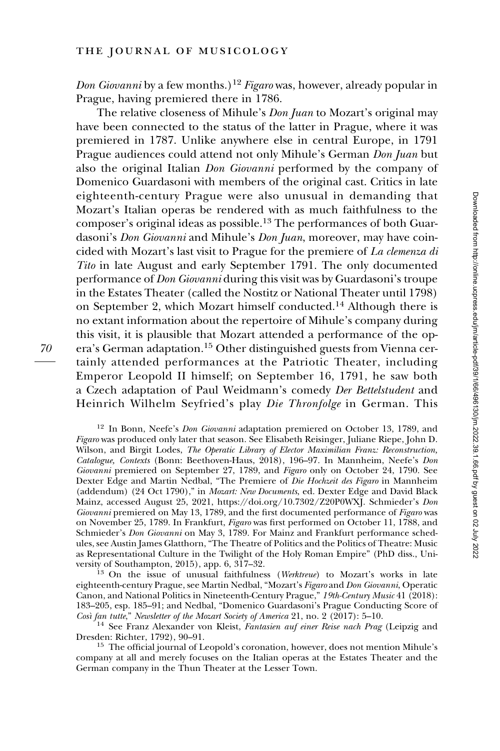Don Giovanni by a few months.)<sup>12</sup> Figaro was, however, already popular in Prague, having premiered there in 1786.

The relative closeness of Mihule's *Don Juan* to Mozart's original may have been connected to the status of the latter in Prague, where it was premiered in 1787. Unlike anywhere else in central Europe, in 1791 Prague audiences could attend not only Mihule's German Don Juan but also the original Italian Don Giovanni performed by the company of Domenico Guardasoni with members of the original cast. Critics in late eighteenth-century Prague were also unusual in demanding that Mozart's Italian operas be rendered with as much faithfulness to the composer's original ideas as possible.<sup>13</sup> The performances of both Guardasoni's *Don Giovanni* and Mihule's *Don Juan*, moreover, may have coincided with Mozart's last visit to Prague for the premiere of La clemenza di Tito in late August and early September 1791. The only documented performance of Don Giovanni during this visit was by Guardasoni's troupe in the Estates Theater (called the Nostitz or National Theater until 1798) on September 2, which Mozart himself conducted.<sup>14</sup> Although there is no extant information about the repertoire of Mihule's company during this visit, it is plausible that Mozart attended a performance of the opera's German adaptation.<sup>15</sup> Other distinguished guests from Vienna certainly attended performances at the Patriotic Theater, including Emperor Leopold II himself; on September 16, 1791, he saw both a Czech adaptation of Paul Weidmann's comedy Der Bettelstudent and Heinrich Wilhelm Seyfried's play Die Thronfolge in German. This

<sup>12</sup> In Bonn, Neefe's *Don Giovanni* adaptation premiered on October 13, 1789, and Figaro was produced only later that season. See Elisabeth Reisinger, Juliane Riepe, John D. Wilson, and Birgit Lodes, The Operatic Library of Elector Maximilian Franz: Reconstruction, Catalogue, Contexts (Bonn: Beethoven-Haus, 2018), 196–97. In Mannheim, Neefe's Don Giovanni premiered on September 27, 1789, and Figaro only on October 24, 1790. See Dexter Edge and Martin Nedbal, "The Premiere of Die Hochzeit des Figaro in Mannheim (addendum) (24 Oct 1790)," in Mozart: New Documents, ed. Dexter Edge and David Black Mainz, accessed August 25, 2021, [https://doi.org/10.7302/Z20P0WXJ.](https://doi.org/10.7302/Z20P0WXJ) Schmieder's Don Giovanni premiered on May 13, 1789, and the first documented performance of Figaro was on November 25, 1789. In Frankfurt, Figaro was first performed on October 11, 1788, and Schmieder's Don Giovanni on May 3, 1789. For Mainz and Frankfurt performance schedules, see Austin James Glatthorn, "The Theatre of Politics and the Politics of Theatre: Music as Representational Culture in the Twilight of the Holy Roman Empire" (PhD diss., Uni-

 $^{13}$  On the issue of unusual faithfulness (Werktreue) to Mozart's works in late eighteenth-century Prague, see Martin Nedbal, "Mozart's Figaro and Don Giovanni, Operatic Canon, and National Politics in Nineteenth-Century Prague," 19th-Century Music 41 (2018): 183–205, esp. 185–91; and Nedbal, "Domenico Guardasoni's Prague Conducting Score of Così fan tutte," Newsletter of the Mozart Society of America 21, no. 2 (2017): 5–10.

 $^{14}$  See Franz Alexander von Kleist, Fantasien auf einer Reise nach Prag (Leipzig and Dresden: Richter, 1792), 90–91.

<sup>15</sup> The official journal of Leopold's coronation, however, does not mention Mihule's company at all and merely focuses on the Italian operas at the Estates Theater and the German company in the Thun Theater at the Lesser Town.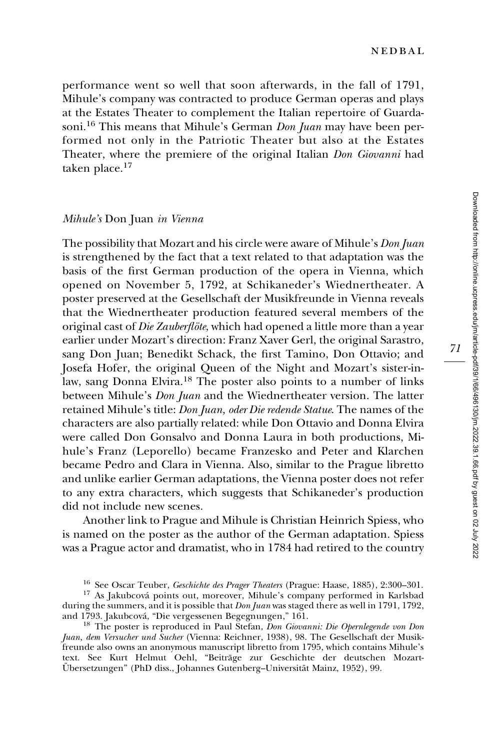performance went so well that soon afterwards, in the fall of 1791, Mihule's company was contracted to produce German operas and plays at the Estates Theater to complement the Italian repertoire of Guardasoni.<sup>16</sup> This means that Mihule's German *Don Juan* may have been performed not only in the Patriotic Theater but also at the Estates Theater, where the premiere of the original Italian Don Giovanni had taken place.17

#### Mihule's Don Juan in Vienna

The possibility that Mozart and his circle were aware of Mihule's *Don Juan* is strengthened by the fact that a text related to that adaptation was the basis of the first German production of the opera in Vienna, which opened on November 5, 1792, at Schikaneder's Wiednertheater. A poster preserved at the Gesellschaft der Musikfreunde in Vienna reveals that the Wiednertheater production featured several members of the original cast of Die Zauberflöte, which had opened a little more than a year earlier under Mozart's direction: Franz Xaver Gerl, the original Sarastro, sang Don Juan; Benedikt Schack, the first Tamino, Don Ottavio; and Josefa Hofer, the original Queen of the Night and Mozart's sister-inlaw, sang Donna Elvira.<sup>18</sup> The poster also points to a number of links between Mihule's *Don Juan* and the Wiednertheater version. The latter retained Mihule's title: Don Juan, oder Die redende Statue. The names of the characters are also partially related: while Don Ottavio and Donna Elvira were called Don Gonsalvo and Donna Laura in both productions, Mihule's Franz (Leporello) became Franzesko and Peter and Klarchen became Pedro and Clara in Vienna. Also, similar to the Prague libretto and unlike earlier German adaptations, the Vienna poster does not refer to any extra characters, which suggests that Schikaneder's production did not include new scenes.

Another link to Prague and Mihule is Christian Heinrich Spiess, who is named on the poster as the author of the German adaptation. Spiess was a Prague actor and dramatist, who in 1784 had retired to the country

<sup>&</sup>lt;sup>16</sup> See Oscar Teuber, *Geschichte des Prager Theaters* (Prague: Haase, 1885), 2:300–301.<br><sup>17</sup> As Jakubcová points out, moreover, Mihule's company performed in Karlsbad

during the summers, and it is possible that *Don Juan* was staged there as well in 1791, 1792, and 1793. Jakubcová, "Die vergessenen Begegnungen," 161.

<sup>&</sup>lt;sup>18</sup> The poster is reproduced in Paul Stefan, Don Giovanni: Die Opernlegende von Don Juan, dem Versucher und Sucher (Vienna: Reichner, 1938), 98. The Gesellschaft der Musikfreunde also owns an anonymous manuscript libretto from 1795, which contains Mihule's text. See Kurt Helmut Oehl, "Beiträge zur Geschichte der deutschen Mozart-Übersetzungen" (PhD diss., Johannes Gutenberg–Universität Mainz, 1952), 99.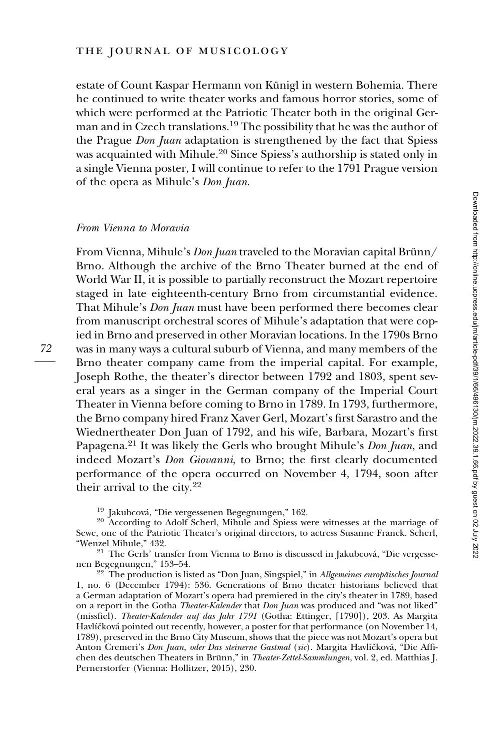estate of Count Kaspar Hermann von Künigl in western Bohemia. There he continued to write theater works and famous horror stories, some of which were performed at the Patriotic Theater both in the original German and in Czech translations.<sup>19</sup> The possibility that he was the author of the Prague *Don Juan* adaptation is strengthened by the fact that Spiess was acquainted with Mihule.<sup>20</sup> Since Spiess's authorship is stated only in a single Vienna poster, I will continue to refer to the 1791 Prague version of the opera as Mihule's Don Juan.

#### From Vienna to Moravia

From Vienna, Mihule's *Don Juan* traveled to the Moravian capital Brünn/ Brno. Although the archive of the Brno Theater burned at the end of World War II, it is possible to partially reconstruct the Mozart repertoire staged in late eighteenth-century Brno from circumstantial evidence. That Mihule's *Don Juan* must have been performed there becomes clear from manuscript orchestral scores of Mihule's adaptation that were copied in Brno and preserved in other Moravian locations. In the 1790s Brno was in many ways a cultural suburb of Vienna, and many members of the Brno theater company came from the imperial capital. For example, Joseph Rothe, the theater's director between 1792 and 1803, spent several years as a singer in the German company of the Imperial Court Theater in Vienna before coming to Brno in 1789. In 1793, furthermore, the Brno company hired Franz Xaver Gerl, Mozart's first Sarastro and the Wiednertheater Don Juan of 1792, and his wife, Barbara, Mozart's first Papagena.<sup>21</sup> It was likely the Gerls who brought Mihule's *Don Juan*, and indeed Mozart's Don Giovanni, to Brno; the first clearly documented performance of the opera occurred on November 4, 1794, soon after their arrival to the city.<sup>22</sup>

<sup>19</sup> Jakubcová, "Die vergessenen Begegnungen," 162.<br><sup>20</sup> According to Adolf Scherl, Mihule and Spiess were witnesses at the marriage of Sewe, one of the Patriotic Theater's original directors, to actress Susanne Franck. Scherl,

"Wenzel Mihule," 432.<br><sup>21</sup> The Gerls' transfer from Vienna to Brno is discussed in Jakubcová, "Die vergesse-<br>nen Begegnungen," 153–54.

 $22$  The production is listed as "Don Juan, Singspiel," in Allgemeines europäisches Journal 1, no. 6 (December 1794): 536. Generations of Brno theater historians believed that a German adaptation of Mozart's opera had premiered in the city's theater in 1789, based on a report in the Gotha Theater-Kalender that Don Juan was produced and "was not liked" (missfiel). Theater-Kalender auf das Jahr 1791 (Gotha: Ettinger, [1790]), 203. As Margita Havlíčková pointed out recently, however, a poster for that performance (on November 14, 1789), preserved in the Brno City Museum, shows that the piece was not Mozart's opera but Anton Cremeri's Don Juan, oder Das steinerne Gastmal (sic). Margita Havlíčková, "Die Affichen des deutschen Theaters in Brünn," in Theater-Zettel-Sammlungen, vol. 2, ed. Matthias J. Pernerstorfer (Vienna: Hollitzer, 2015), 230.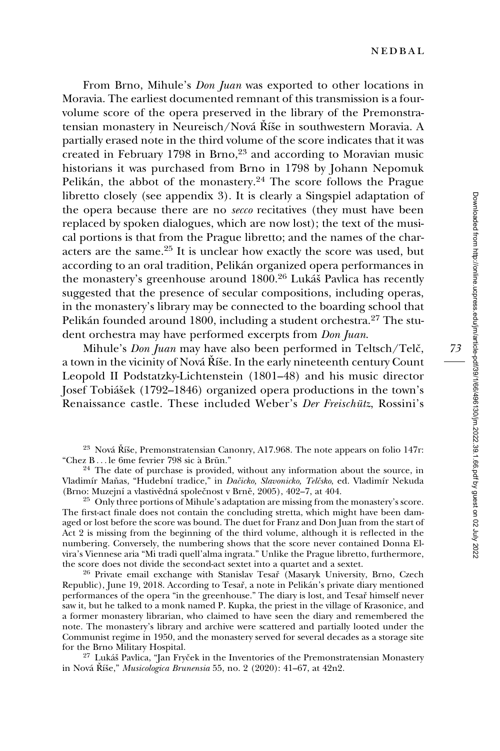From Brno, Mihule's *Don Juan* was exported to other locations in Moravia. The earliest documented remnant of this transmission is a fourvolume score of the opera preserved in the library of the Premonstratensian monastery in Neureisch/Nová Říše in southwestern Moravia. A partially erased note in the third volume of the score indicates that it was created in February 1798 in Brno, $23$  and according to Moravian music historians it was purchased from Brno in 1798 by Johann Nepomuk Pelikán, the abbot of the monastery.<sup>24</sup> The score follows the Prague libretto closely (see appendix 3). It is clearly a Singspiel adaptation of the opera because there are no secco recitatives (they must have been replaced by spoken dialogues, which are now lost); the text of the musical portions is that from the Prague libretto; and the names of the characters are the same.<sup>25</sup> It is unclear how exactly the score was used, but according to an oral tradition, Pelikán organized opera performances in the monastery's greenhouse around 1800.<sup>26</sup> Lukáš Pavlica has recently suggested that the presence of secular compositions, including operas, in the monastery's library may be connected to the boarding school that Pelikán founded around 1800, including a student orchestra.<sup>27</sup> The student orchestra may have performed excerpts from *Don Juan*.

Mihule's *Don Juan* may have also been performed in Teltsch/Telč, a town in the vicinity of Nová Říše. In the early nineteenth century Count Leopold II Podstatzky-Lichtenstein (1801–48) and his music director Josef Tobiášek (1792–1846) organized opera productions in the town's Renaissance castle. These included Weber's Der Freischütz, Rossini's

 $2<sup>5</sup>$  Only three portions of Mihule's adaptation are missing from the monastery's score. The first-act finale does not contain the concluding stretta, which might have been damaged or lost before the score was bound. The duet for Franz and Don Juan from the start of Act 2 is missing from the beginning of the third volume, although it is reflected in the numbering. Conversely, the numbering shows that the score never contained Donna Elvira's Viennese aria "Mi tradì quell'alma ingrata." Unlike the Prague libretto, furthermore, the score does not divide the second-act sextet into a quartet and a sextet.

<sup>26</sup> Private email exchange with Stanislav Tesař (Masaryk University, Brno, Czech Republic), June 19, 2018. According to Tesař, a note in Pelikán's private diary mentioned performances of the opera "in the greenhouse." The diary is lost, and Tesar̆ himself never saw it, but he talked to a monk named P. Kupka, the priest in the village of Krasonice, and a former monastery librarian, who claimed to have seen the diary and remembered the note. The monastery's library and archive were scattered and partially looted under the Communist regime in 1950, and the monastery served for several decades as a storage site

 $27$  Lukáš Pavlica, "Jan Fryček in the Inventories of the Premonstratensian Monastery in Nová Říše," *Musicologica Brunensia* 55, no. 2 (2020): 41–67, at 42n2.

<sup>&</sup>lt;sup>23</sup> Nová Říše, Premonstratensian Canonry, A17.968. The note appears on folio 147r: "Chez B... le 6me fevrier 798 sic à Brün."

 $24$  The date of purchase is provided, without any information about the source, in Vladimír Maňas, "Hudební tradice," in Dačicko, Slavonicko, Telčsko, ed. Vladimír Nekuda (Brno: Muzejní a vlastivědná společnost v Brně, 2005), 402-7, at 404.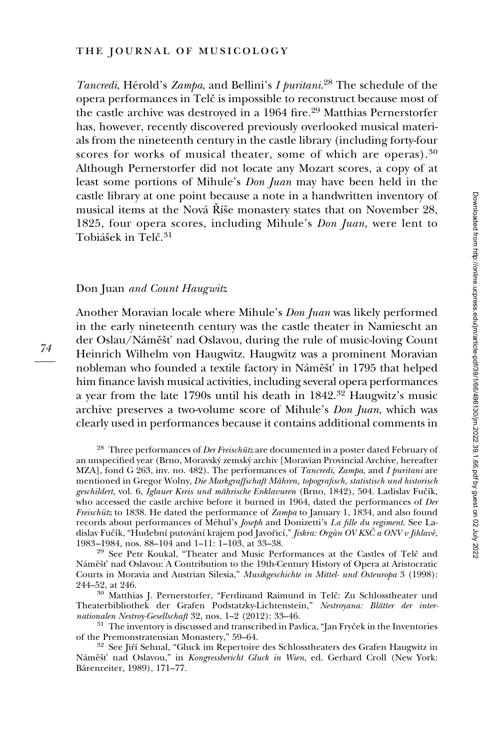Tancredi, Hérold's Zampa, and Bellini's I puritani.<sup>28</sup> The schedule of the opera performances in Telč is impossible to reconstruct because most of the castle archive was destroyed in a 1964 fire.<sup>29</sup> Matthias Pernerstorfer has, however, recently discovered previously overlooked musical materials from the nineteenth century in the castle library (including forty-four scores for works of musical theater, some of which are operas).<sup>30</sup> Although Pernerstorfer did not locate any Mozart scores, a copy of at least some portions of Mihule's Don Juan may have been held in the castle library at one point because a note in a handwritten inventory of musical items at the Nová Říše monastery states that on November 28, 1825, four opera scores, including Mihule's Don Juan, were lent to Tobiášek in Telč.<sup>31</sup>

#### Don Juan and Count Haugwitz

Another Moravian locale where Mihule's Don Juan was likely performed in the early nineteenth century was the castle theater in Namiescht an der Oslau/Náměšť nad Oslavou, during the rule of music-loving Count Heinrich Wilhelm von Haugwitz. Haugwitz was a prominent Moravian nobleman who founded a textile factory in Náměšť in 1795 that helped him finance lavish musical activities, including several opera performances a year from the late 1790s until his death in 1842.<sup>32</sup> Haugwitz's music archive preserves a two-volume score of Mihule's Don Juan, which was clearly used in performances because it contains additional comments in

<sup>28</sup> Three performances of *Der Freischütz* are documented in a poster dated February of an unspecified year (Brno, Moravsky´ zemsky´ archiv [Moravian Provincial Archive, hereafter MZA], fond G 263, inv. no. 482). The performances of *Tancredi*, *Zampa*, and *I puritani* are mentioned in Gregor Wolny, Die Markgraffschaft Mähren, topografisch, statistisch und historisch geschildert, vol. 6, Iglauer Kreis und mährische Enklavuren (Brno, 1842), 504. Ladislav Fučík, who accessed the castle archive before it burned in 1964, dated the performances of Der Freischütz to 1838. He dated the performance of Zampa to January 1, 1834, and also found records about performances of Méhul's Joseph and Donizetti's La fille du regiment. See Ladislav Fučík, "Hudební putování krajem pod Javořicí," *Jiskra: Orgán OV KSČ a ONV v Jihlavě*, 1983–1984, nos. 88–104 and 1–11: 1–103, at 33–38.

<sup>29</sup> See Petr Koukal, "Theater and Music Performances at the Castles of Telč and Náměšť nad Oslavou: A Contribution to the 19th-Century History of Opera at Aristocratic Courts in Moravia and Austrian Silesia," Musikgeschichte in Mittel- und Osteuropa 3 (1998): 244–52, at 246.

<sup>30</sup> Matthias J. Pernerstorfer, "Ferdinand Raimund in Telč: Zu Schlosstheater und Theaterbibliothek der Grafen Podstatzky-Lichtenstein," Nestroyana: Blätter der internationalen Nestroy-Gesellschaft 32, nos. 1–2 (2012): 33–46.

 $31$  The inventory is discussed and transcribed in Pavlica, "Jan Fryc̆ek in the Inventories of the Premonstratensian Monastery,"  $59-64$ .

<sup>32</sup> See Jiří Sehnal, "Gluck im Repertoire des Schlosstheaters des Grafen Haugwitz in Náměšť nad Oslavou," in Kongressbericht Gluck in Wien, ed. Gerhard Croll (New York: Bärenreiter, 1989), 171-77.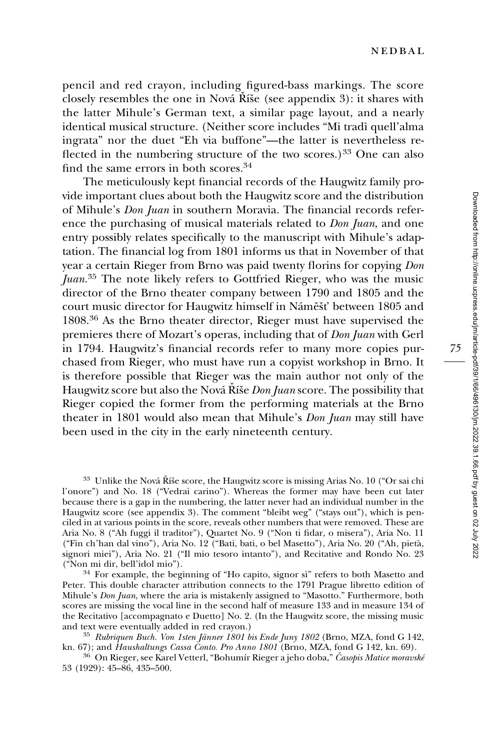pencil and red crayon, including figured-bass markings. The score closely resembles the one in Nová  $\tilde{R}$ ise (see appendix 3): it shares with the latter Mihule's German text, a similar page layout, and a nearly identical musical structure. (Neither score includes "Mi tradì quell'alma ingrata" nor the duet "Eh via buffone"—the latter is nevertheless reflected in the numbering structure of the two scores.)<sup>33</sup> One can also find the same errors in both scores.34

The meticulously kept financial records of the Haugwitz family provide important clues about both the Haugwitz score and the distribution of Mihule's Don Juan in southern Moravia. The financial records reference the purchasing of musical materials related to *Don Juan*, and one entry possibly relates specifically to the manuscript with Mihule's adaptation. The financial log from 1801 informs us that in November of that year a certain Rieger from Brno was paid twenty florins for copying Don Juan.<sup>35</sup> The note likely refers to Gottfried Rieger, who was the music director of the Brno theater company between 1790 and 1805 and the court music director for Haugwitz himself in Náměšť between 1805 and 1808.<sup>36</sup> As the Brno theater director, Rieger must have supervised the premieres there of Mozart's operas, including that of Don Juan with Gerl in 1794. Haugwitz's financial records refer to many more copies purchased from Rieger, who must have run a copyist workshop in Brno. It is therefore possible that Rieger was the main author not only of the Haugwitz score but also the Nová Ríše Don Juan score. The possibility that Rieger copied the former from the performing materials at the Brno theater in 1801 would also mean that Mihule's *Don Juan* may still have been used in the city in the early nineteenth century.

 $33$  Unlike the Nová Říše score, the Haugwitz score is missing Arias No. 10 ("Or sai chi l'onore") and No. 18 ("Vedrai carino"). Whereas the former may have been cut later because there is a gap in the numbering, the latter never had an individual number in the Haugwitz score (see appendix 3). The comment "bleibt weg" ("stays out"), which is penciled in at various points in the score, reveals other numbers that were removed. These are Aria No. 8 ("Ah fuggi il traditor"), Quartet No. 9 ("Non ti fidar, o misera"), Aria No. 11 ("Fin ch'han dal vino"), Aria No. 12 ("Bati, bati, o bel Masetto"), Aria No. 20 ("Ah, pieta`, signori miei"), Aria No. 21 ("Il mio tesoro intanto"), and Recitative and Rondo No. 23

<sup>(&</sup>quot;Non mi dir, bell'idol mio").<br><sup>34</sup> For example, the beginning of "Ho capito, signor sì" refers to both Masetto and Peter. This double character attribution connects to the 1791 Prague libretto edition of Mihule's *Don Juan*, where the aria is mistakenly assigned to "Masotto." Furthermore, both scores are missing the vocal line in the second half of measure 133 and in measure 134 of the Recitativo [accompagnato e Duetto] No. 2. (In the Haugwitz score, the missing music

<sup>&</sup>lt;sup>35</sup> Rubriquen Buch. Von 1sten Jänner 1801 bis Ende Juny 1802 (Brno, MZA, fond G 142, kn. 69).<br>
kn. 67); and *Haushaltungs Cassa Conto. Pro Anno 1801* (Brno, MZA, fond G 142, kn. 69).

 $^{36}$  On Rieger, see Karel Vetterl, "Bohumír Rieger a jeho doba," Časopis Matice moravské 53 (1929): 45–86, 435–500.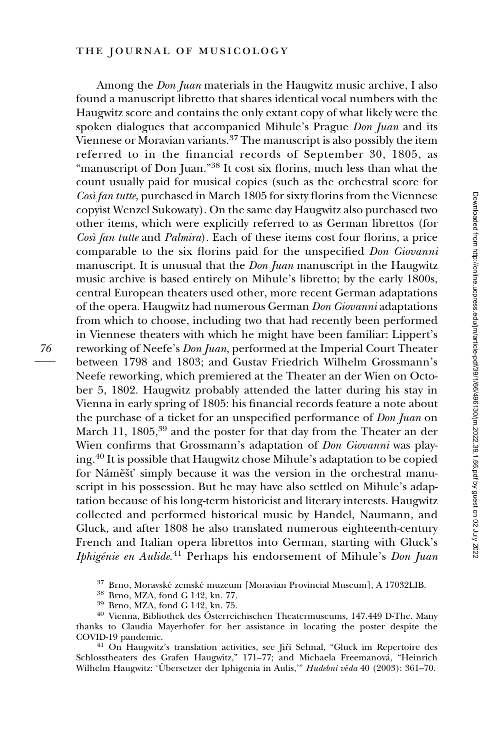#### the journal of musicology

Among the *Don Juan* materials in the Haugwitz music archive, I also found a manuscript libretto that shares identical vocal numbers with the Haugwitz score and contains the only extant copy of what likely were the spoken dialogues that accompanied Mihule's Prague Don Juan and its Viennese or Moravian variants.<sup>37</sup> The manuscript is also possibly the item referred to in the financial records of September 30, 1805, as "manuscript of Don Juan."<sup>38</sup> It cost six florins, much less than what the count usually paid for musical copies (such as the orchestral score for Così fan tutte, purchased in March 1805 for sixty florins from the Viennese copyist Wenzel Sukowaty). On the same day Haugwitz also purchased two other items, which were explicitly referred to as German librettos (for Cosı` fan tutte and Palmira). Each of these items cost four florins, a price comparable to the six florins paid for the unspecified Don Giovanni manuscript. It is unusual that the *Don Juan* manuscript in the Haugwitz music archive is based entirely on Mihule's libretto; by the early 1800s, central European theaters used other, more recent German adaptations of the opera. Haugwitz had numerous German Don Giovanni adaptations from which to choose, including two that had recently been performed in Viennese theaters with which he might have been familiar: Lippert's reworking of Neefe's Don Juan, performed at the Imperial Court Theater between 1798 and 1803; and Gustav Friedrich Wilhelm Grossmann's Neefe reworking, which premiered at the Theater an der Wien on October 5, 1802. Haugwitz probably attended the latter during his stay in Vienna in early spring of 1805: his financial records feature a note about the purchase of a ticket for an unspecified performance of *Don Juan* on March 11, 1805,<sup>39</sup> and the poster for that day from the Theater an der Wien confirms that Grossmann's adaptation of Don Giovanni was playing.<sup>40</sup> It is possible that Haugwitz chose Mihule's adaptation to be copied for Náměšť simply because it was the version in the orchestral manuscript in his possession. But he may have also settled on Mihule's adaptation because of his long-term historicist and literary interests. Haugwitz collected and performed historical music by Handel, Naumann, and Gluck, and after 1808 he also translated numerous eighteenth-century French and Italian opera librettos into German, starting with Gluck's Iphigénie en Aulide.<sup>41</sup> Perhaps his endorsement of Mihule's Don Juan

<sup>37</sup> Brno, Moravské zemské muzeum [Moravian Provincial Museum], A 17032LIB.<br><sup>38</sup> Brno, MZA, fond G 142, kn. 75.<br><sup>39</sup> Brno, MZA, fond G 142, kn. 75.<br><sup>40</sup> Vienna, Bibliothek des Österreichischen Theatermuseums, 147.449 D-Th

- 
- 

thanks to Claudia Mayerhofer for her assistance in locating the poster despite the

<sup>41</sup> On Haugwitz's translation activities, see Jiří Sehnal, "Gluck im Repertoire des Schlosstheaters des Grafen Haugwitz," 171–77; and Michaela Freemanová, "Heinrich Wilhelm Haugwitz: 'Übersetzer der Iphigenia in Aulis," Hudební věda 40 (2003): 361-70.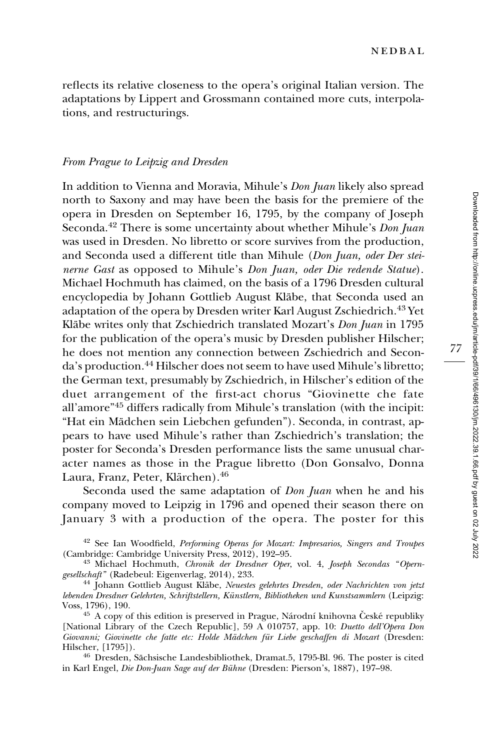reflects its relative closeness to the opera's original Italian version. The adaptations by Lippert and Grossmann contained more cuts, interpolations, and restructurings.

#### From Prague to Leipzig and Dresden

In addition to Vienna and Moravia, Mihule's Don Juan likely also spread north to Saxony and may have been the basis for the premiere of the opera in Dresden on September 16, 1795, by the company of Joseph Seconda.<sup>42</sup> There is some uncertainty about whether Mihule's *Don Juan* was used in Dresden. No libretto or score survives from the production, and Seconda used a different title than Mihule (Don Juan, oder Der steinerne Gast as opposed to Mihule's Don Juan, oder Die redende Statue). Michael Hochmuth has claimed, on the basis of a 1796 Dresden cultural encyclopedia by Johann Gottlieb August Kläbe, that Seconda used an adaptation of the opera by Dresden writer Karl August Zschiedrich.<sup>43</sup> Yet Kläbe writes only that Zschiedrich translated Mozart's Don Juan in 1795 for the publication of the opera's music by Dresden publisher Hilscher; he does not mention any connection between Zschiedrich and Seconda's production.<sup>44</sup> Hilscher does not seem to have used Mihule's libretto; the German text, presumably by Zschiedrich, in Hilscher's edition of the duet arrangement of the first-act chorus "Giovinette che fate all'amore"<sup>45</sup> differs radically from Mihule's translation (with the incipit: "Hat ein Mädchen sein Liebchen gefunden"). Seconda, in contrast, appears to have used Mihule's rather than Zschiedrich's translation; the poster for Seconda's Dresden performance lists the same unusual character names as those in the Prague libretto (Don Gonsalvo, Donna Laura, Franz, Peter, Klärchen).<sup>46</sup>

Seconda used the same adaptation of *Don Juan* when he and his company moved to Leipzig in 1796 and opened their season there on January 3 with a production of the opera. The poster for this

<sup>42</sup> See Ian Woodfield, *Performing Operas for Mozart: Impresarios, Singers and Troupes* (Cambridge: Cambridge University Press, 2012), 192–95.

<sup>43</sup> Michael Hochmuth, Chronik der Dresdner Oper, vol. 4, Joseph Secondas "Opern-gesellschaft" (Radebeul: Eigenverlag, 2014), 233.

<sup>44</sup> Johann Gottlieb August Kläbe, Neuestes gelehrtes Dresden, oder Nachrichten von jetzt lebenden Dresdner Gelehrten, Schriftstellern, Künstlern, Bibliotheken und Kunstsammlern (Leipzig:<br>Voss, 1796), 190.

<sup>45</sup> A copy of this edition is preserved in Prague, Na´rodní knihovna České republiky [National Library of the Czech Republic], 59 A 010757, app. 10: Duetto dell'Opera Don Giovanni; Giovinette che fatte etc: Holde Mädchen für Liebe geschaffen di Mozart (Dresden: Hilscher, [1795]).

<sup>46</sup> Dresden, Sächsische Landesbibliothek, Dramat.5, 1795-Bl. 96. The poster is cited in Karl Engel, Die Don-Juan Sage auf der Bühne (Dresden: Pierson's, 1887), 197-98.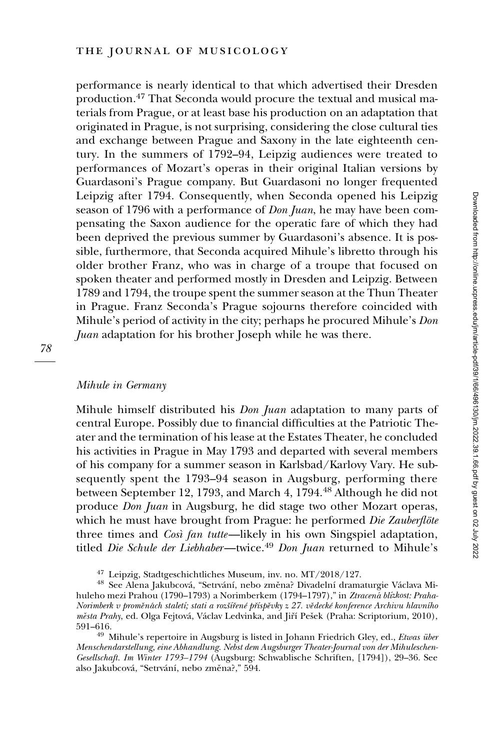performance is nearly identical to that which advertised their Dresden production.<sup>47</sup> That Seconda would procure the textual and musical materials from Prague, or at least base his production on an adaptation that originated in Prague, is not surprising, considering the close cultural ties and exchange between Prague and Saxony in the late eighteenth century. In the summers of 1792–94, Leipzig audiences were treated to performances of Mozart's operas in their original Italian versions by Guardasoni's Prague company. But Guardasoni no longer frequented Leipzig after 1794. Consequently, when Seconda opened his Leipzig season of 1796 with a performance of *Don Juan*, he may have been compensating the Saxon audience for the operatic fare of which they had been deprived the previous summer by Guardasoni's absence. It is possible, furthermore, that Seconda acquired Mihule's libretto through his older brother Franz, who was in charge of a troupe that focused on spoken theater and performed mostly in Dresden and Leipzig. Between 1789 and 1794, the troupe spent the summer season at the Thun Theater in Prague. Franz Seconda's Prague sojourns therefore coincided with Mihule's period of activity in the city; perhaps he procured Mihule's Don Juan adaptation for his brother Joseph while he was there.

#### Mihule in Germany

Mihule himself distributed his Don Juan adaptation to many parts of central Europe. Possibly due to financial difficulties at the Patriotic Theater and the termination of his lease at the Estates Theater, he concluded his activities in Prague in May 1793 and departed with several members of his company for a summer season in Karlsbad/Karlovy Vary. He subsequently spent the 1793–94 season in Augsburg, performing there between September 12, 1793, and March 4, 1794.<sup>48</sup> Although he did not produce Don Juan in Augsburg, he did stage two other Mozart operas, which he must have brought from Prague: he performed Die Zauberflöte three times and *Così fan tutte*—likely in his own Singspiel adaptation, titled Die Schule der Liebhaber—twice.<sup>49</sup> Don Juan returned to Mihule's

<sup>&</sup>lt;sup>47</sup> Leipzig, Stadtgeschichtliches Museum, inv. no. MT/2018/127.<br><sup>48</sup> See Alena Jakubcová, "Setrvání, nebo změna? Divadelní dramaturgie Václava Mihuleho mezi Prahou (1790–1793) a Norimberkem (1794–1797)," in Ztracená blízkost: Praha-Norimberk v proměnách staletí; stati a rozšířené příspěvky z 27. vědecké konference Archivu hlavního města Prahy, ed. Olga Fejtová, Václav Ledvinka, and Jiří Pešek (Praha: Scriptorium, 2010), 591–616.

<sup>&</sup>lt;sup>49</sup> Mihule's repertoire in Augsburg is listed in Johann Friedrich Gley, ed., Etwas über Menschendarstellung, eine Abhandlung. Nebst dem Augsburger Theater-Journal von der Mihuleschen-Gesellschaft. Im Winter 1793–1794 (Augsburg: Schwablische Schriften, [1794]), 29–36. See also Jakubcová, "Setrvání, nebo změna?," 594.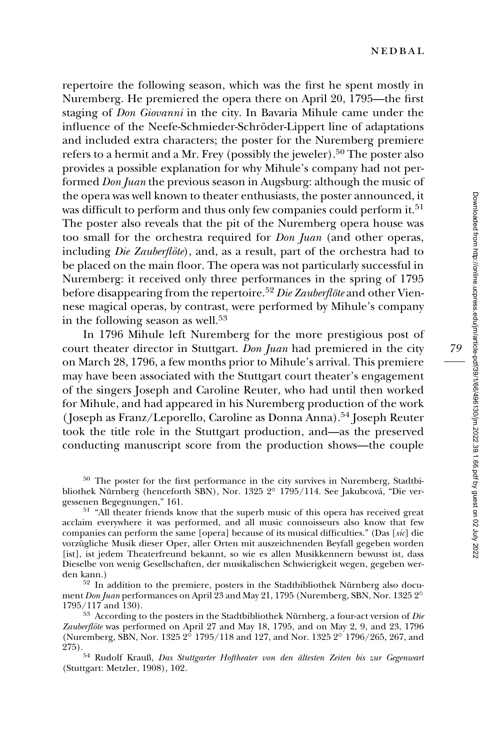repertoire the following season, which was the first he spent mostly in Nuremberg. He premiered the opera there on April 20, 1795—the first staging of Don Giovanni in the city. In Bavaria Mihule came under the influence of the Neefe-Schmieder-Schröder-Lippert line of adaptations and included extra characters; the poster for the Nuremberg premiere refers to a hermit and a Mr. Frey (possibly the jeweler).<sup>50</sup> The poster also provides a possible explanation for why Mihule's company had not performed Don Juan the previous season in Augsburg: although the music of the opera was well known to theater enthusiasts, the poster announced, it was difficult to perform and thus only few companies could perform it.<sup>51</sup> The poster also reveals that the pit of the Nuremberg opera house was too small for the orchestra required for Don Juan (and other operas, including *Die Zauberflöte*), and, as a result, part of the orchestra had to be placed on the main floor. The opera was not particularly successful in Nuremberg: it received only three performances in the spring of 1795 before disappearing from the repertoire.<sup>52</sup> Die Zauberflöte and other Viennese magical operas, by contrast, were performed by Mihule's company in the following season as well.<sup>53</sup>

In 1796 Mihule left Nuremberg for the more prestigious post of court theater director in Stuttgart. Don Juan had premiered in the city on March 28, 1796, a few months prior to Mihule's arrival. This premiere may have been associated with the Stuttgart court theater's engagement of the singers Joseph and Caroline Reuter, who had until then worked for Mihule, and had appeared in his Nuremberg production of the work (Joseph as Franz/Leporello, Caroline as Donna Anna).54 Joseph Reuter took the title role in the Stuttgart production, and—as the preserved conducting manuscript score from the production shows—the couple

<sup>50</sup> The poster for the first performance in the city survives in Nuremberg, Stadtbibliothek Nürnberg (henceforth SBN), Nor. 1325 2° 1795/114. See Jakubcová, "Die vergessenen Begegnungen," 161.<br>
<sup>51</sup> "All theater friends know that the superb music of this opera has received great

acclaim everywhere it was performed, and all music connoisseurs also know that few companies can perform the same [opera] because of its musical difficulties." (Das [sic] die vorzügliche Musik dieser Oper, aller Orten mit auszeichnenden Beyfall gegeben worden [ist], ist jedem Theaterfreund bekannt, so wie es allen Musikkennern bewusst ist, dass Dieselbe von wenig Gesellschaften, der musikalischen Schwierigkeit wegen, gegeben werden kann.)<br> $52$  In addition to the premiere, posters in the Stadtbibliothek Nürnberg also docu-

ment Don Juan performances on April 23 and May 21, 1795 (Nuremberg, SBN, Nor. 1325 2 $^{\circ}$ 1795/117 and 130).  $5^3$  According to the posters in the Stadtbibliothek Nürnberg, a four-act version of *Die* 

Zauberflöte was performed on April 27 and May 18, 1795, and on May 2, 9, and 23, 1796 (Nuremberg, SBN, Nor. 1325  $2^{\circ}$  1795/118 and 127, and Nor. 1325  $2^{\circ}$  1796/265, 267, and

<sup>275).&</sup>lt;br> $54$  Rudolf Krauß, Das Stuttgarter Hoftheater von den ältesten Zeiten bis zur Gegenwart (Stuttgart: Metzler, 1908), 102.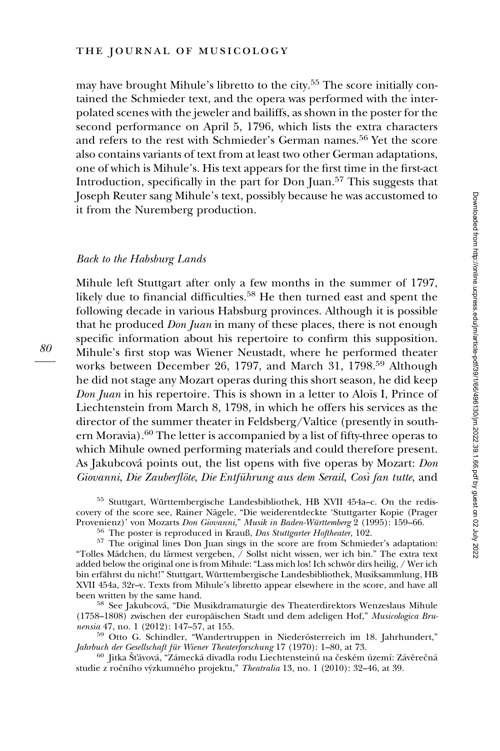may have brought Mihule's libretto to the city.<sup>55</sup> The score initially contained the Schmieder text, and the opera was performed with the interpolated scenes with the jeweler and bailiffs, as shown in the poster for the second performance on April 5, 1796, which lists the extra characters and refers to the rest with Schmieder's German names.<sup>56</sup> Yet the score also contains variants of text from at least two other German adaptations, one of which is Mihule's. His text appears for the first time in the first-act Introduction, specifically in the part for Don Juan.57 This suggests that Joseph Reuter sang Mihule's text, possibly because he was accustomed to it from the Nuremberg production.

#### Back to the Habsburg Lands

Mihule left Stuttgart after only a few months in the summer of 1797, likely due to financial difficulties.<sup>58</sup> He then turned east and spent the following decade in various Habsburg provinces. Although it is possible that he produced *Don Juan* in many of these places, there is not enough specific information about his repertoire to confirm this supposition. Mihule's first stop was Wiener Neustadt, where he performed theater works between December 26, 1797, and March 31, 1798.<sup>59</sup> Although he did not stage any Mozart operas during this short season, he did keep Don Juan in his repertoire. This is shown in a letter to Alois I, Prince of Liechtenstein from March 8, 1798, in which he offers his services as the director of the summer theater in Feldsberg/Valtice (presently in southern Moravia).<sup>60</sup> The letter is accompanied by a list of fifty-three operas to which Mihule owned performing materials and could therefore present. As Jakubcová points out, the list opens with five operas by Mozart: Don Giovanni, Die Zauberflöte, Die Entführung aus dem Serail, Così fan tutte, and

<sup>55</sup> Stuttgart, Württembergische Landesbibliothek, HB XVII 454a–c. On the rediscovery of the score see, Rainer Nägele, "Die weiderentdeckte 'Stuttgarter Kopie (Prager Provenienz)' von Mozarts Don Giovanni," Musik in Baden-Württemberg 2 (1995): 159-66.

 $^{56}$  The poster is reproduced in Krauß, *Das Stuttgarter Hoftheater*, 102.<br> $^{57}$  The original lines Don Juan sings in the score are from Schmieder's adaptation: "Tolles Mädchen, du lärmest vergeben, / Sollst nicht wissen, wer ich bin." The extra text added below the original one is from Mihule: "Lass mich los! Ich schwör dirs heilig, / Wer ich bin erfährst du nicht!" Stuttgart, Württembergische Landesbibliothek, Musiksammlung, HB XVII 454a, 32r–v. Texts from Mihule's libretto appear elsewhere in the score, and have all been written by the same hand.<br><sup>58</sup> See Jakubcová, "Die Musikdramaturgie des Theaterdirektors Wenzeslaus Mihule

(1758–1808) zwischen der europäischen Stadt und dem adeligen Hof," Musicologica Brunensia 47, no. 1 (2012): 147–57, at 155.

 $^{59}$  Otto G. Schindler, "Wandertruppen in Niederösterreich im 18. Jahrhundert," Jahrhundert, Jahrhundert, Jahrhundert, Jahrhundert, Jahrhundert, Jahrhundert, Jahrhundert, Jahrhundert, Jahrhundert, Jahrhundert, Jahrhunde

 $^{60}\,$  Jitka Šťávová, "Zámecká divadla rodu Liechtensteinů na českém území: Závěrečná studie z ročního výzkumného projektu," Theatralia 13, no. 1 (2010): 32-46, at 39.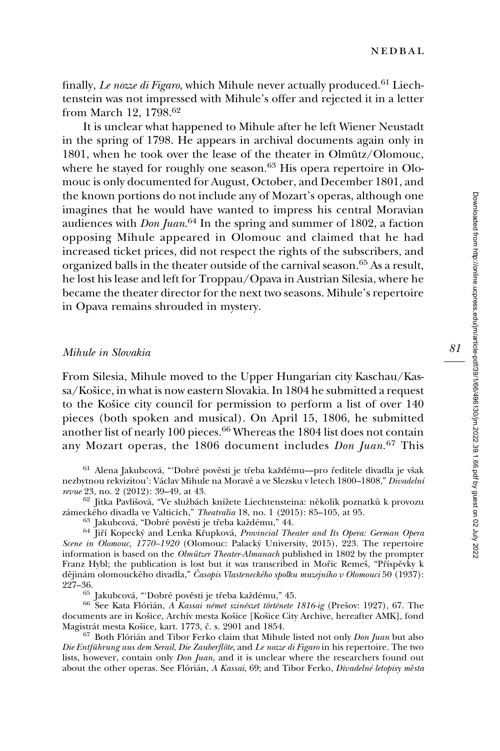finally, Le nozze di Figaro, which Mihule never actually produced.<sup>61</sup> Liechtenstein was not impressed with Mihule's offer and rejected it in a letter from March 12, 1798.<sup>62</sup>

It is unclear what happened to Mihule after he left Wiener Neustadt in the spring of 1798. He appears in archival documents again only in 1801, when he took over the lease of the theater in Olmütz/Olomouc, where he stayed for roughly one season.<sup>63</sup> His opera repertoire in Olomouc is only documented for August, October, and December 1801, and the known portions do not include any of Mozart's operas, although one imagines that he would have wanted to impress his central Moravian audiences with  $\emph{Don Juan}. ^{64}$  In the spring and summer of 1802, a faction opposing Mihule appeared in Olomouc and claimed that he had increased ticket prices, did not respect the rights of the subscribers, and organized balls in the theater outside of the carnival season.<sup>65</sup> As a result, he lost his lease and left for Troppau/Opava in Austrian Silesia, where he became the theater director for the next two seasons. Mihule's repertoire in Opava remains shrouded in mystery.

#### Mihule in Slovakia

From Silesia, Mihule moved to the Upper Hungarian city Kaschau/Kassa/Košice, in what is now eastern Slovakia. In 1804 he submitted a request to the Košice city council for permission to perform a list of over 140 pieces (both spoken and musical). On April 15, 1806, he submitted another list of nearly 100 pieces.<sup>66</sup> Whereas the 1804 list does not contain any Mozart operas, the 1806 document includes Don Juan.<sup>67</sup> This

<sup>61</sup> Alena Jakubcová, "'Dobré pověsti je třeba každému—pro ředitele divadla je však nezbytnou rekvizitou': Václav Mihule na Moravě a ve Slezsku v letech 1800–1808," Divadelní revue 23, no. 2 (2012): 39–49, at 43.

<sup>62</sup> Jitka Pavlišová, "Ve službách knížete Liechtensteina: několik poznatků k provozu

zámeckého divadla ve Valticích," *Theatralia* 18, no. 1 (2015): 85–105, at 95.<br><sup>63</sup> Jakubcová, "Dobré pověsti je třeba každému," 44.<br><sup>64</sup> Jiří Kopecký and Lenka Křupková, *Provincial Theater and Its Opera: German Opera* Scene in Olomouc, 1770–1920 (Olomouc: Palacký University, 2015), 223. The repertoire information is based on the *Olmützer Theater-Almanach* published in 1802 by the prompter Franz Hybl; the publication is lost but it was transcribed in Mořic Remeš, "Příspěvky k dějinám olomouckého divadla," Časopis Vlasteneckého spolku muzejního v Olomouci 50 (1937):<br>227–36.

<sup>65</sup> Jakubcová, "'Dobré pověsti je třeba každému," 45.<br><sup>66</sup> See Kata Flórián, *A Kassai német szinészet története 1816-ig* (Prešov: 1927), 67. The documents are in Košice, Archív mesta Košice [Košice City Archive, hereafter AMK], fond<br>Magistrát mesta Košice, kart. 1773, č. s. 2901 and 1854.

 $67$  Both Flórián and Tibor Ferko claim that Mihule listed not only *Don Juan* but also Die Entführung aus dem Serail, Die Zauberflöte, and Le nozze di Figaro in his repertoire. The two lists, however, contain only *Don Juan*, and it is unclear where the researchers found out about the other operas. See Flórián, A Kassai, 69; and Tibor Ferko, Divadelné letopisy města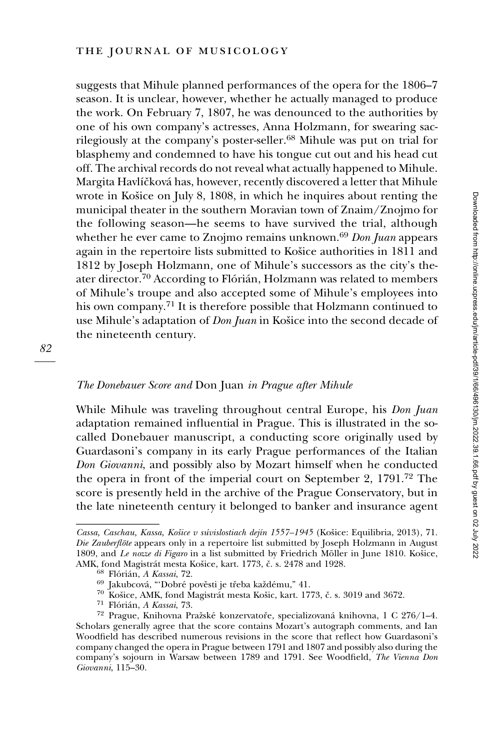suggests that Mihule planned performances of the opera for the 1806–7 season. It is unclear, however, whether he actually managed to produce the work. On February 7, 1807, he was denounced to the authorities by one of his own company's actresses, Anna Holzmann, for swearing sacrilegiously at the company's poster-seller.<sup>68</sup> Mihule was put on trial for blasphemy and condemned to have his tongue cut out and his head cut off. The archival records do not reveal what actually happened to Mihule. Margita Havlíčková has, however, recently discovered a letter that Mihule wrote in Košice on July 8, 1808, in which he inquires about renting the municipal theater in the southern Moravian town of Znaim/Znojmo for the following season—he seems to have survived the trial, although whether he ever came to Znojmo remains unknown.<sup>69</sup> Don Juan appears again in the repertoire lists submitted to Košice authorities in 1811 and 1812 by Joseph Holzmann, one of Mihule's successors as the city's theater director.<sup>70</sup> According to Flórián, Holzmann was related to members of Mihule's troupe and also accepted some of Mihule's employees into his own company.<sup>71</sup> It is therefore possible that Holzmann continued to use Mihule's adaptation of Don Juan in Košice into the second decade of the nineteenth century.

# 82

### The Donebauer Score and Don Juan in Prague after Mihule

While Mihule was traveling throughout central Europe, his *Don Juan* adaptation remained influential in Prague. This is illustrated in the socalled Donebauer manuscript, a conducting score originally used by Guardasoni's company in its early Prague performances of the Italian Don Giovanni, and possibly also by Mozart himself when he conducted the opera in front of the imperial court on September 2, 1791.72 The score is presently held in the archive of the Prague Conservatory, but in 1812 by Joseph Hol<br>
ater director.<sup>70</sup> Acco<br>
of Mihule's troupe<br>
his own company.<sup>71</sup><br>
use Mihule's adapta<br>
the nineteenth cent<br> *The Donebauer Score*<br>
While Mihule was t<br>
adaptation remaine<br>
called Donebauer 1<br>
Guardason the late nineteenth century it belonged to banker and insurance agent

Cassa, Caschau, Kassa, Košice v súvislostiach dejín 1557–1945 (Košice: Equilibria, 2013), 71. Die Zauberflöte appears only in a repertoire list submitted by Joseph Holzmann in August 1809, and Le nozze di Figaro in a list submitted by Friedrich Möller in June 1810. Košice, AMK, fond Magistrát mesta Košice, kart. 1773, č. s. 2478 and 1928.

 $^{68}$  Flórián, *A Kassai*, 72.<br> $^{69}$  Jakubcová, "Dobré pověsti je třeba každému," 41.<br> $^{70}$  Košice, AMK, fond Magistrát mesta Košic, kart. 1773, č. s. 3019 and 3672.<br> $^{71}$  Flórián, *A Kassai*, 73.<br> $^{72}$  Prague, Kniho Scholars generally agree that the score contains Mozart's autograph comments, and Ian Woodfield has described numerous revisions in the score that reflect how Guardasoni's company changed the opera in Prague between 1791 and 1807 and possibly also during the company's sojourn in Warsaw between 1789 and 1791. See Woodfield, The Vienna Don Giovanni, 115–30.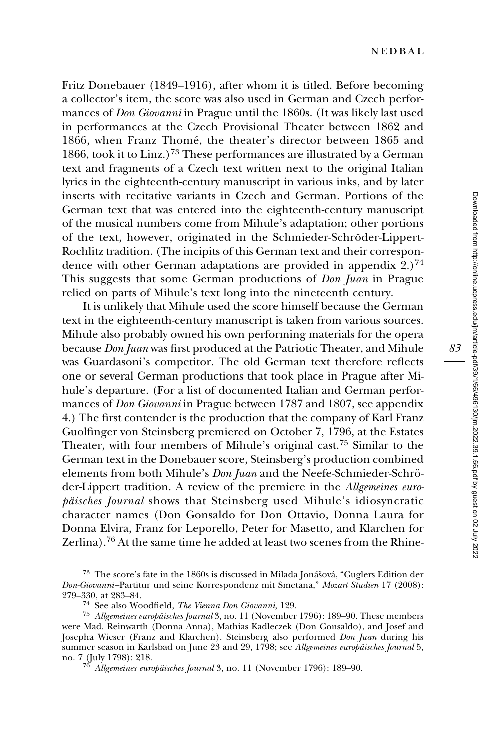Fritz Donebauer (1849–1916), after whom it is titled. Before becoming a collector's item, the score was also used in German and Czech performances of Don Giovanni in Prague until the 1860s. (It was likely last used in performances at the Czech Provisional Theater between 1862 and 1866, when Franz Thomé, the theater's director between 1865 and 1866, took it to Linz.)<sup>73</sup> These performances are illustrated by a German text and fragments of a Czech text written next to the original Italian lyrics in the eighteenth-century manuscript in various inks, and by later inserts with recitative variants in Czech and German. Portions of the German text that was entered into the eighteenth-century manuscript of the musical numbers come from Mihule's adaptation; other portions of the text, however, originated in the Schmieder-Schröder-Lippert-Rochlitz tradition. (The incipits of this German text and their correspondence with other German adaptations are provided in appendix  $2.7^{74}$ This suggests that some German productions of Don Juan in Prague relied on parts of Mihule's text long into the nineteenth century.

It is unlikely that Mihule used the score himself because the German text in the eighteenth-century manuscript is taken from various sources. Mihule also probably owned his own performing materials for the opera because Don Juan was first produced at the Patriotic Theater, and Mihule was Guardasoni's competitor. The old German text therefore reflects one or several German productions that took place in Prague after Mihule's departure. (For a list of documented Italian and German performances of Don Giovanni in Prague between 1787 and 1807, see appendix 4.) The first contender is the production that the company of Karl Franz Guolfinger von Steinsberg premiered on October 7, 1796, at the Estates Theater, with four members of Mihule's original cast.75 Similar to the German text in the Donebauer score, Steinsberg's production combined elements from both Mihule's Don Juan and the Neefe-Schmieder-Schröder-Lippert tradition. A review of the premiere in the Allgemeines europäisches Journal shows that Steinsberg used Mihule's idiosyncratic character names (Don Gonsaldo for Don Ottavio, Donna Laura for Donna Elvira, Franz for Leporello, Peter for Masetto, and Klarchen for Zerlina).76 At the same time he added at least two scenes from the Rhine-

<sup>&</sup>lt;sup>73</sup> The score's fate in the 1860s is discussed in Milada Jonášová, "Guglers Edition der Don-Giovanni–Partitur und seine Korrespondenz mit Smetana," Mozart Studien 17 (2008):

<sup>&</sup>lt;sup>74</sup>–See also Woodfield, *The Vienna Don Giovanni*, 129.<br><sup>75</sup> Allgemeines europäisches Journal 3, no. 11 (November 1796): 189–90. These members were Mad. Reinwarth (Donna Anna), Mathias Kadleczek (Don Gonsaldo), and Josef and Josepha Wieser (Franz and Klarchen). Steinsberg also performed Don Juan during his summer season in Karlsbad on June 23 and 29, 1798; see Allgemeines europäisches Journal 5, no. 7 (July 1798): 218.<br><sup>76</sup> Allgemeines europäisches Journal 3, no. 11 (November 1796): 189–90.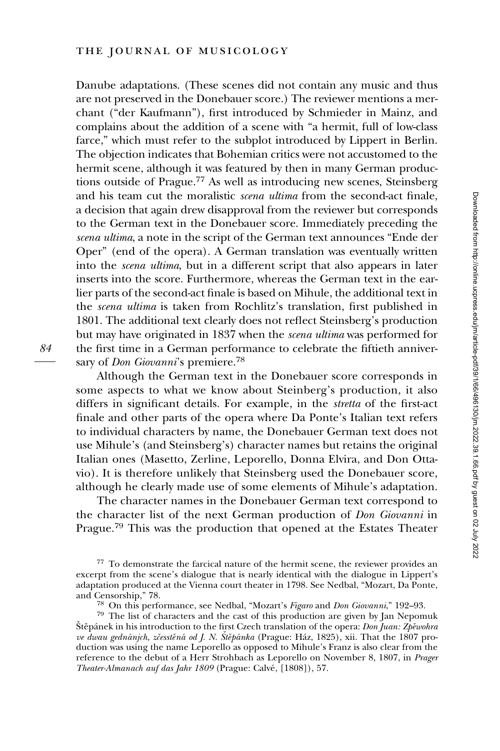Danube adaptations. (These scenes did not contain any music and thus are not preserved in the Donebauer score.) The reviewer mentions a merchant ("der Kaufmann"), first introduced by Schmieder in Mainz, and complains about the addition of a scene with "a hermit, full of low-class farce," which must refer to the subplot introduced by Lippert in Berlin. The objection indicates that Bohemian critics were not accustomed to the hermit scene, although it was featured by then in many German productions outside of Prague.77 As well as introducing new scenes, Steinsberg and his team cut the moralistic scena ultima from the second-act finale, a decision that again drew disapproval from the reviewer but corresponds to the German text in the Donebauer score. Immediately preceding the scena ultima, a note in the script of the German text announces "Ende der Oper" (end of the opera). A German translation was eventually written into the scena ultima, but in a different script that also appears in later inserts into the score. Furthermore, whereas the German text in the earlier parts of the second-act finale is based on Mihule, the additional text in the scena ultima is taken from Rochlitz's translation, first published in 1801. The additional text clearly does not reflect Steinsberg's production but may have originated in 1837 when the scena ultima was performed for the first time in a German performance to celebrate the fiftieth anniversary of *Don Giovanni*'s premiere.<sup>78</sup>

Although the German text in the Donebauer score corresponds in some aspects to what we know about Steinberg's production, it also differs in significant details. For example, in the stretta of the first-act finale and other parts of the opera where Da Ponte's Italian text refers to individual characters by name, the Donebauer German text does not use Mihule's (and Steinsberg's) character names but retains the original Italian ones (Masetto, Zerline, Leporello, Donna Elvira, and Don Ottavio). It is therefore unlikely that Steinsberg used the Donebauer score, although he clearly made use of some elements of Mihule's adaptation.

The character names in the Donebauer German text correspond to the character list of the next German production of Don Giovanni in Prague.<sup>79</sup> This was the production that opened at the Estates Theater

<sup>77</sup> To demonstrate the farcical nature of the hermit scene, the reviewer provides an excerpt from the scene's dialogue that is nearly identical with the dialogue in Lippert's adaptation produced at the Vienna court theater in 1798. See Nedbal, "Mozart, Da Ponte,

<sup>&</sup>lt;sup>78</sup> On this performance, see Nedbal, "Mozart's Figaro and Don Giovanni," 192–93.<br><sup>79</sup> The list of characters and the cast of this production are given by Jan Nepomuk

Štěpánek in his introduction to the first Czech translation of the opera: Don Juan: Zpěwohra ve dwau gednánjch, zčesstěná od J. N. Štěpánka (Prague: Ház, 1825), xii. That the 1807 production was using the name Leporello as opposed to Mihule's Franz is also clear from the reference to the debut of a Herr Strohbach as Leporello on November 8, 1807, in Prager Theater-Almanach auf das Jahr 1809 (Prague: Calvé, [1808]), 57.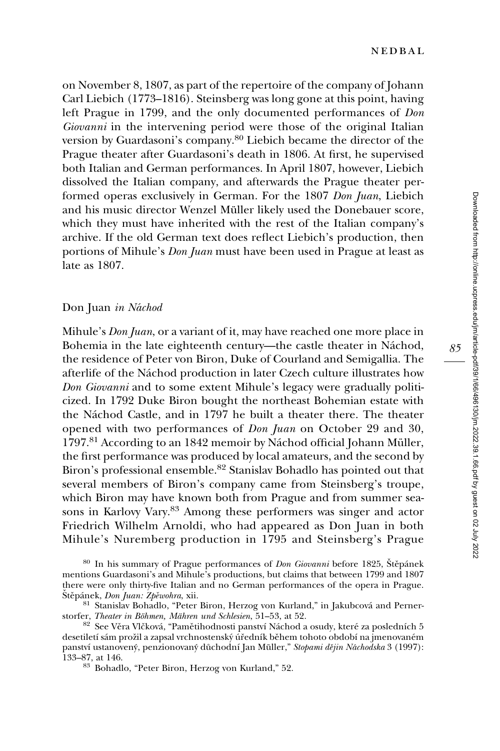on November 8, 1807, as part of the repertoire of the company of Johann Carl Liebich (1773–1816). Steinsberg was long gone at this point, having left Prague in 1799, and the only documented performances of Don Giovanni in the intervening period were those of the original Italian version by Guardasoni's company.<sup>80</sup> Liebich became the director of the Prague theater after Guardasoni's death in 1806. At first, he supervised both Italian and German performances. In April 1807, however, Liebich dissolved the Italian company, and afterwards the Prague theater performed operas exclusively in German. For the 1807 Don Juan, Liebich and his music director Wenzel Müller likely used the Donebauer score, which they must have inherited with the rest of the Italian company's archive. If the old German text does reflect Liebich's production, then portions of Mihule's Don Juan must have been used in Prague at least as late as 1807.

#### Don Juan in Náchod

Mihule's *Don Juan*, or a variant of it, may have reached one more place in Bohemia in the late eighteenth century—the castle theater in Náchod, the residence of Peter von Biron, Duke of Courland and Semigallia. The afterlife of the Náchod production in later Czech culture illustrates how Don Giovanni and to some extent Mihule's legacy were gradually politicized. In 1792 Duke Biron bought the northeast Bohemian estate with the Náchod Castle, and in 1797 he built a theater there. The theater opened with two performances of Don Juan on October 29 and 30, 1797.<sup>81</sup> According to an 1842 memoir by Náchod official Johann Müller, the first performance was produced by local amateurs, and the second by Biron's professional ensemble.<sup>82</sup> Stanislav Bohadlo has pointed out that several members of Biron's company came from Steinsberg's troupe, which Biron may have known both from Prague and from summer seasons in Karlovy Vary.83 Among these performers was singer and actor Friedrich Wilhelm Arnoldi, who had appeared as Don Juan in both Mihule's Nuremberg production in 1795 and Steinsberg's Prague

 $80$  In his summary of Prague performances of *Don Giovanni* before 1825, Štěpánek mentions Guardasoni's and Mihule's productions, but claims that between 1799 and 1807 there were only thirty-five Italian and no German performances of the opera in Prague.<br>Štěpánek, Don Juan: Zběwohra, xii.

 $^{81}$  Stanislav Bohadlo, "Peter Biron, Herzog von Kurland," in Jakubcová and Perner-storfer, Theater in Böhmen, Mähren und Schlesien, 51–53, at 52.

<sup>82</sup> See Věra Vlčková, "Pamětihodnosti panství Náchod a osudy, které za posledních 5 desetiletí sám prožil a zapsal vrchnostenský úředník během tohoto období na jmenovaném panství ustanovený, penzionovaný důchodní Jan Müller," *Stopami dějin Náchodska* 3 (1997):<br>133–87, at 146.

<sup>83</sup> Bohadlo, "Peter Biron, Herzog von Kurland," 52.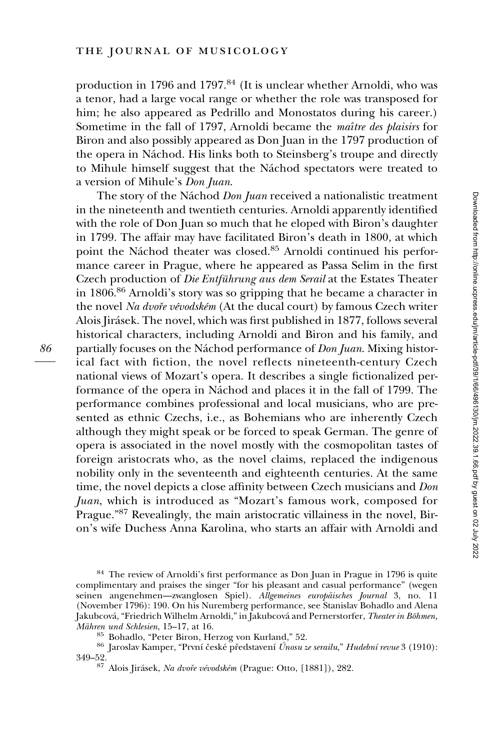86

production in 1796 and 1797.<sup>84</sup> (It is unclear whether Arnoldi, who was a tenor, had a large vocal range or whether the role was transposed for him; he also appeared as Pedrillo and Monostatos during his career.) Sometime in the fall of 1797, Arnoldi became the *maître des plaisirs* for Biron and also possibly appeared as Don Juan in the 1797 production of the opera in Náchod. His links both to Steinsberg's troupe and directly to Mihule himself suggest that the Náchod spectators were treated to a version of Mihule's Don Juan.

The story of the Náchod *Don Juan* received a nationalistic treatment in the nineteenth and twentieth centuries. Arnoldi apparently identified with the role of Don Juan so much that he eloped with Biron's daughter in 1799. The affair may have facilitated Biron's death in 1800, at which point the Náchod theater was closed.<sup>85</sup> Arnoldi continued his performance career in Prague, where he appeared as Passa Selim in the first Czech production of Die Entführung aus dem Serail at the Estates Theater in 1806.86 Arnoldi's story was so gripping that he became a character in the novel Na dvoře vévodském (At the ducal court) by famous Czech writer Alois Jirásek. The novel, which was first published in 1877, follows several historical characters, including Arnoldi and Biron and his family, and partially focuses on the Náchod performance of *Don Juan*. Mixing historical fact with fiction, the novel reflects nineteenth-century Czech national views of Mozart's opera. It describes a single fictionalized performance of the opera in Náchod and places it in the fall of 1799. The performance combines professional and local musicians, who are presented as ethnic Czechs, i.e., as Bohemians who are inherently Czech although they might speak or be forced to speak German. The genre of opera is associated in the novel mostly with the cosmopolitan tastes of foreign aristocrats who, as the novel claims, replaced the indigenous nobility only in the seventeenth and eighteenth centuries. At the same time, the novel depicts a close affinity between Czech musicians and Don Juan, which is introduced as "Mozart's famous work, composed for Prague."<sup>87</sup> Revealingly, the main aristocratic villainess in the novel, Biron's wife Duchess Anna Karolina, who starts an affair with Arnoldi and

<sup>84</sup> The review of Arnoldi's first performance as Don Juan in Prague in 1796 is quite complimentary and praises the singer "for his pleasant and casual performance" (wegen seinen angenehmen—zwanglosen Spiel). Allgemeines europäisches Journal 3, no. 11 (November 1796): 190. On his Nuremberg performance, see Stanislav Bohadlo and Alena Jakubcová, "Friedrich Wilhelm Arnoldi," in Jakubcová and Pernerstorfer, Theater in Böhmen, Mähren und Schlesien, 15–17, at 16.

 $^{85}$ Bohadlo, "Peter Biron, Herzog von Kurland," 52.  $^{86}$ Jaroslav Kamper, "První české představení  $\emph{Unosu ze}$ serailu," Hudební revue 3 (1910): 349–52.

<sup>&</sup>lt;sup>87</sup> Alois Jirásek, Na dvoře vévodském (Prague: Otto, [1881]), 282.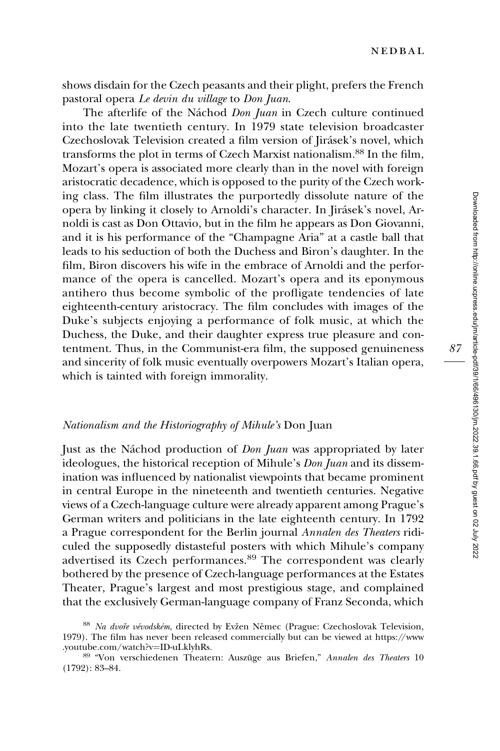shows disdain for the Czech peasants and their plight, prefers the French pastoral opera Le devin du village to Don Juan.

The afterlife of the Náchod Don Juan in Czech culture continued into the late twentieth century. In 1979 state television broadcaster Czechoslovak Television created a film version of Jirásek's novel, which transforms the plot in terms of Czech Marxist nationalism.<sup>88</sup> In the film, Mozart's opera is associated more clearly than in the novel with foreign aristocratic decadence, which is opposed to the purity of the Czech working class. The film illustrates the purportedly dissolute nature of the opera by linking it closely to Arnoldi's character. In Jirásek's novel, Arnoldi is cast as Don Ottavio, but in the film he appears as Don Giovanni, and it is his performance of the "Champagne Aria" at a castle ball that leads to his seduction of both the Duchess and Biron's daughter. In the film, Biron discovers his wife in the embrace of Arnoldi and the performance of the opera is cancelled. Mozart's opera and its eponymous antihero thus become symbolic of the profligate tendencies of late eighteenth-century aristocracy. The film concludes with images of the Duke's subjects enjoying a performance of folk music, at which the Duchess, the Duke, and their daughter express true pleasure and contentment. Thus, in the Communist-era film, the supposed genuineness and sincerity of folk music eventually overpowers Mozart's Italian opera, which is tainted with foreign immorality.

# Nationalism and the Historiography of Mihule's Don Juan

Just as the Náchod production of *Don Juan* was appropriated by later ideologues, the historical reception of Mihule's *Don Juan* and its dissemination was influenced by nationalist viewpoints that became prominent in central Europe in the nineteenth and twentieth centuries. Negative views of a Czech-language culture were already apparent among Prague's German writers and politicians in the late eighteenth century. In 1792 a Prague correspondent for the Berlin journal Annalen des Theaters ridiculed the supposedly distasteful posters with which Mihule's company advertised its Czech performances.<sup>89</sup> The correspondent was clearly bothered by the presence of Czech-language performances at the Estates Theater, Prague's largest and most prestigious stage, and complained that the exclusively German-language company of Franz Seconda, which

<sup>88</sup> Na dvoře vévodském, directed by Evžen Němec (Prague: Czechoslovak Television, 1979). The film has never been released commercially but can be viewed at [https://www](https://www.youtube.com/watch?v=ID-uLklyhRs)

<sup>89 &</sup>quot;Von verschiedenen Theatern: Auszüge aus Briefen," Annalen des Theaters 10 (1792): 83–84.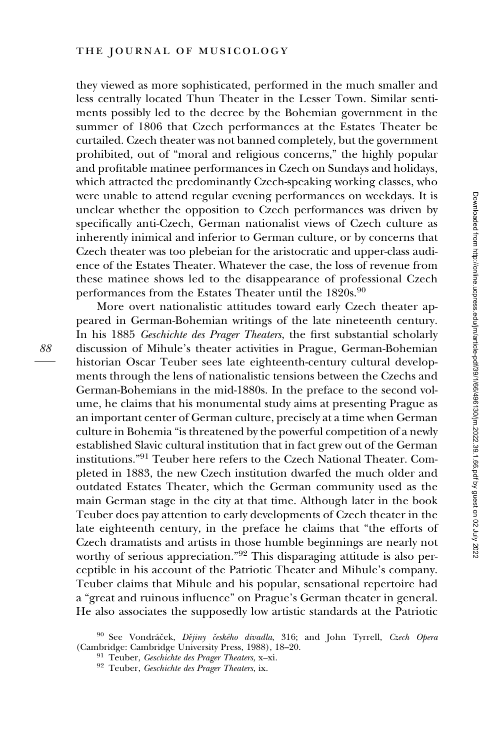they viewed as more sophisticated, performed in the much smaller and less centrally located Thun Theater in the Lesser Town. Similar sentiments possibly led to the decree by the Bohemian government in the summer of 1806 that Czech performances at the Estates Theater be curtailed. Czech theater was not banned completely, but the government prohibited, out of "moral and religious concerns," the highly popular and profitable matinee performances in Czech on Sundays and holidays, which attracted the predominantly Czech-speaking working classes, who were unable to attend regular evening performances on weekdays. It is unclear whether the opposition to Czech performances was driven by specifically anti-Czech, German nationalist views of Czech culture as inherently inimical and inferior to German culture, or by concerns that Czech theater was too plebeian for the aristocratic and upper-class audience of the Estates Theater. Whatever the case, the loss of revenue from these matinee shows led to the disappearance of professional Czech performances from the Estates Theater until the 1820s.<sup>90</sup>

More overt nationalistic attitudes toward early Czech theater appeared in German-Bohemian writings of the late nineteenth century. In his 1885 Geschichte des Prager Theaters, the first substantial scholarly discussion of Mihule's theater activities in Prague, German-Bohemian historian Oscar Teuber sees late eighteenth-century cultural developments through the lens of nationalistic tensions between the Czechs and German-Bohemians in the mid-1880s. In the preface to the second volume, he claims that his monumental study aims at presenting Prague as an important center of German culture, precisely at a time when German culture in Bohemia "is threatened by the powerful competition of a newly established Slavic cultural institution that in fact grew out of the German institutions."<sup>91</sup> Teuber here refers to the Czech National Theater. Completed in 1883, the new Czech institution dwarfed the much older and outdated Estates Theater, which the German community used as the main German stage in the city at that time. Although later in the book Teuber does pay attention to early developments of Czech theater in the late eighteenth century, in the preface he claims that "the efforts of Czech dramatists and artists in those humble beginnings are nearly not worthy of serious appreciation."<sup>92</sup> This disparaging attitude is also perceptible in his account of the Patriotic Theater and Mihule's company. Teuber claims that Mihule and his popular, sensational repertoire had a "great and ruinous influence" on Prague's German theater in general. He also associates the supposedly low artistic standards at the Patriotic

 $^{90}$  See Vondráček,  $D\check{e}jiny$ českého divadla, 316; and John Tyrrell, Czech Opera (Cambridge: Cambridge University Press, 1988), 18–20.

<sup>&</sup>lt;sup>91</sup> Teuber, Geschichte des Prager Theaters, x–xi. <sup>92</sup> Teuber, Geschichte des Prager Theaters, ix.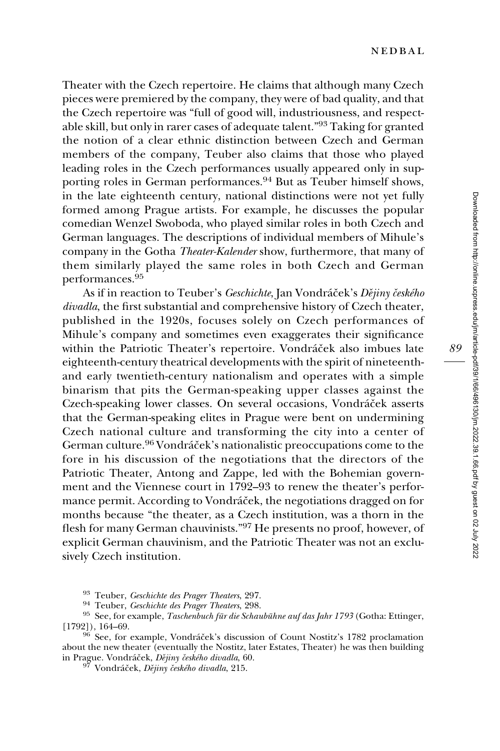Theater with the Czech repertoire. He claims that although many Czech pieces were premiered by the company, they were of bad quality, and that the Czech repertoire was "full of good will, industriousness, and respectable skill, but only in rarer cases of adequate talent."93 Taking for granted the notion of a clear ethnic distinction between Czech and German members of the company, Teuber also claims that those who played leading roles in the Czech performances usually appeared only in supporting roles in German performances.<sup>94</sup> But as Teuber himself shows, in the late eighteenth century, national distinctions were not yet fully formed among Prague artists. For example, he discusses the popular comedian Wenzel Swoboda, who played similar roles in both Czech and German languages. The descriptions of individual members of Mihule's company in the Gotha Theater-Kalender show, furthermore, that many of them similarly played the same roles in both Czech and German performances.<sup>95</sup>

As if in reaction to Teuber's Geschichte, Jan Vondráček's Dějiny českého divadla, the first substantial and comprehensive history of Czech theater, published in the 1920s, focuses solely on Czech performances of Mihule's company and sometimes even exaggerates their significance within the Patriotic Theater's repertoire. Vondráček also imbues late eighteenth-century theatrical developments with the spirit of nineteenthand early twentieth-century nationalism and operates with a simple binarism that pits the German-speaking upper classes against the Czech-speaking lower classes. On several occasions, Vondráček asserts that the German-speaking elites in Prague were bent on undermining Czech national culture and transforming the city into a center of German culture.<sup>96</sup> Vondráček's nationalistic preoccupations come to the fore in his discussion of the negotiations that the directors of the Patriotic Theater, Antong and Zappe, led with the Bohemian government and the Viennese court in 1792–93 to renew the theater's performance permit. According to Vondráček, the negotiations dragged on for months because "the theater, as a Czech institution, was a thorn in the flesh for many German chauvinists."<sup>97</sup> He presents no proof, however, of explicit German chauvinism, and the Patriotic Theater was not an exclusively Czech institution.

<sup>93</sup> Teuber, *Geschichte des Prager Theaters*, 297.<br><sup>94</sup> Teuber, *Geschichte des Prager Theaters*, 298.<br><sup>95</sup> See, for example, *Taschenbuch für die Schaubühne auf das Jahr 1793* (Gotha: Ettinger, [1792]), 164–69.

<sup>96</sup> See, for example, Vondráček's discussion of Count Nostitz's 1782 proclamation about the new theater (eventually the Nostitz, later Estates, Theater) he was then building<br>in Prague. Vondráček, *Dějiny českého divadla*, 60.

<sup>97</sup> Vondráček, Dějiny českého divadla, 215.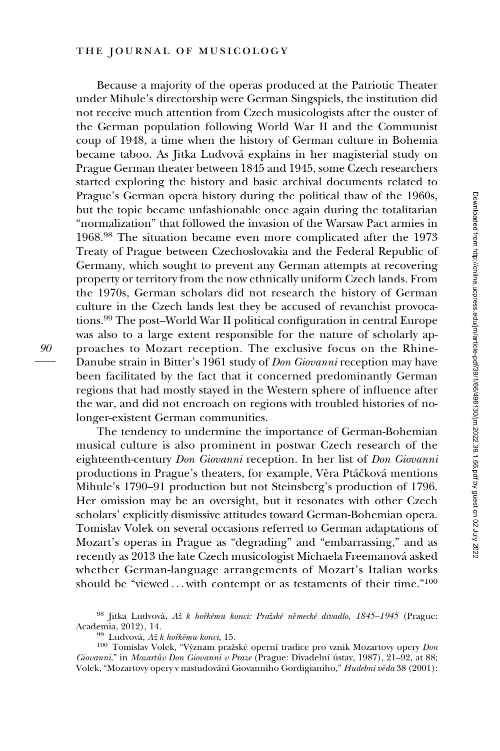# the journal of musicology

Because a majority of the operas produced at the Patriotic Theater under Mihule's directorship were German Singspiels, the institution did not receive much attention from Czech musicologists after the ouster of the German population following World War II and the Communist coup of 1948, a time when the history of German culture in Bohemia became taboo. As Jitka Ludvova´ explains in her magisterial study on Prague German theater between 1845 and 1945, some Czech researchers started exploring the history and basic archival documents related to Prague's German opera history during the political thaw of the 1960s, but the topic became unfashionable once again during the totalitarian "normalization" that followed the invasion of the Warsaw Pact armies in 1968.<sup>98</sup> The situation became even more complicated after the 1973 Treaty of Prague between Czechoslovakia and the Federal Republic of Germany, which sought to prevent any German attempts at recovering property or territory from the now ethnically uniform Czech lands. From the 1970s, German scholars did not research the history of German culture in the Czech lands lest they be accused of revanchist provocations.<sup>99</sup> The post–World War II political configuration in central Europe was also to a large extent responsible for the nature of scholarly approaches to Mozart reception. The exclusive focus on the Rhine-Danube strain in Bitter's 1961 study of Don Giovanni reception may have been facilitated by the fact that it concerned predominantly German regions that had mostly stayed in the Western sphere of influence after the war, and did not encroach on regions with troubled histories of nolonger-existent German communities.

The tendency to undermine the importance of German-Bohemian musical culture is also prominent in postwar Czech research of the eighteenth-century Don Giovanni reception. In her list of Don Giovanni productions in Prague's theaters, for example, Věra Ptáčková mentions Mihule's 1790–91 production but not Steinsberg's production of 1796. Her omission may be an oversight, but it resonates with other Czech scholars' explicitly dismissive attitudes toward German-Bohemian opera. Tomislav Volek on several occasions referred to German adaptations of Mozart's operas in Prague as "degrading" and "embarrassing," and as recently as 2013 the late Czech musicologist Michaela Freemanová asked whether German-language arrangements of Mozart's Italian works should be "viewed...with contempt or as testaments of their time."<sup>100</sup>

<sup>&</sup>lt;sup>98</sup> Jitka Ludvová, Až k hořkému konci: Pražské německé divadlo, 1845–1945 (Prague: Academia, 2012), 14.

<sup>&</sup>lt;sup>99</sup> Ludvová, Až k hořkému konci, 15.<br><sup>100</sup> Tomislav Volek, "Význam pražské operní tradice pro vznik Mozartovy opery Don Giovanni," in Mozartův Don Giovanni v Praze (Prague: Divadelní ústav, 1987), 21–92, at 88; Volek, "Mozartovy opery v nastudování Giovanniho Gordigianiho," Hudební věda 38 (2001):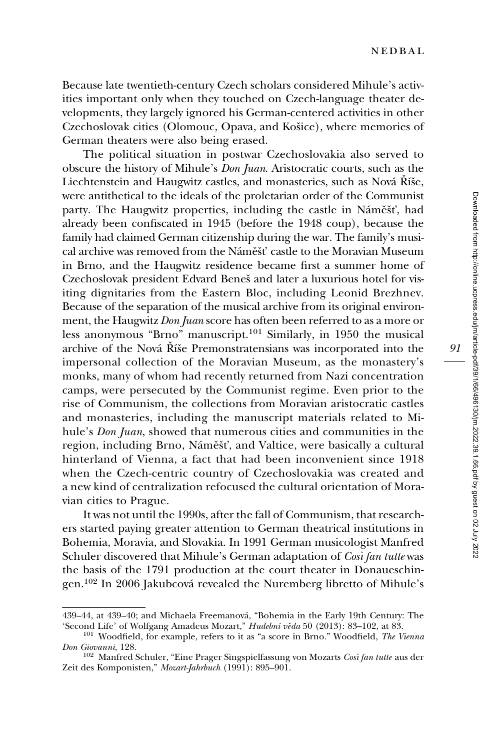Because late twentieth-century Czech scholars considered Mihule's activities important only when they touched on Czech-language theater developments, they largely ignored his German-centered activities in other Czechoslovak cities (Olomouc, Opava, and Košice), where memories of German theaters were also being erased.

The political situation in postwar Czechoslovakia also served to obscure the history of Mihule's Don Juan. Aristocratic courts, such as the Liechtenstein and Haugwitz castles, and monasteries, such as Nová Říše, were antithetical to the ideals of the proletarian order of the Communist party. The Haugwitz properties, including the castle in Náměšť, had already been confiscated in 1945 (before the 1948 coup), because the family had claimed German citizenship during the war. The family's musical archive was removed from the Náměšť castle to the Moravian Museum in Brno, and the Haugwitz residence became first a summer home of Czechoslovak president Edvard Beneš and later a luxurious hotel for visiting dignitaries from the Eastern Bloc, including Leonid Brezhnev. Because of the separation of the musical archive from its original environment, the Haugwitz Don Juan score has often been referred to as a more or less anonymous "Brno" manuscript.<sup>101</sup> Similarly, in 1950 the musical archive of the Nová Říše Premonstratensians was incorporated into the impersonal collection of the Moravian Museum, as the monastery's monks, many of whom had recently returned from Nazi concentration camps, were persecuted by the Communist regime. Even prior to the rise of Communism, the collections from Moravian aristocratic castles and monasteries, including the manuscript materials related to Mihule's Don Juan, showed that numerous cities and communities in the region, including Brno, Náměšť, and Valtice, were basically a cultural hinterland of Vienna, a fact that had been inconvenient since 1918 when the Czech-centric country of Czechoslovakia was created and a new kind of centralization refocused the cultural orientation of Moravian cities to Prague. archive of the Nová<br>
impersonal collecti<br>
monks, many of wh<br>
camps, were persec<br>
rise of Communism<br>
and monasteries, i<br>
hule's *Don Juan*, she<br>
region, including B<br>
hinterland of Vien<br>
when the Czech-ce<br>
a new kind of cen

It was not until the 1990s, after the fall of Communism, that researchers started paying greater attention to German theatrical institutions in Bohemia, Moravia, and Slovakia. In 1991 German musicologist Manfred Schuler discovered that Mihule's German adaptation of Così fan tutte was the basis of the 1791 production at the court theater in Donaueschingen.<sup>102</sup> In 2006 Jakubcová revealed the Nuremberg libretto of Mihule's

<sup>439–44,</sup> at 439–40; and Michaela Freemanová, "Bohemia in the Early 19th Century: The 'Second Life' of Wolfgang Amadeus Mozart," *Hudební věda* 50 (2013): 83–102, at 83.

<sup>&</sup>lt;sup>101</sup> Woodfield, for example, refers to it as "a score in Brno." Woodfield, The Vienna Don Giovanni, 128.<br><sup>102</sup> Manfred Schuler, "Eine Prager Singspielfassung von Mozarts Così fan tutte aus der

Zeit des Komponisten," Mozart-Jahrbuch (1991): 895–901.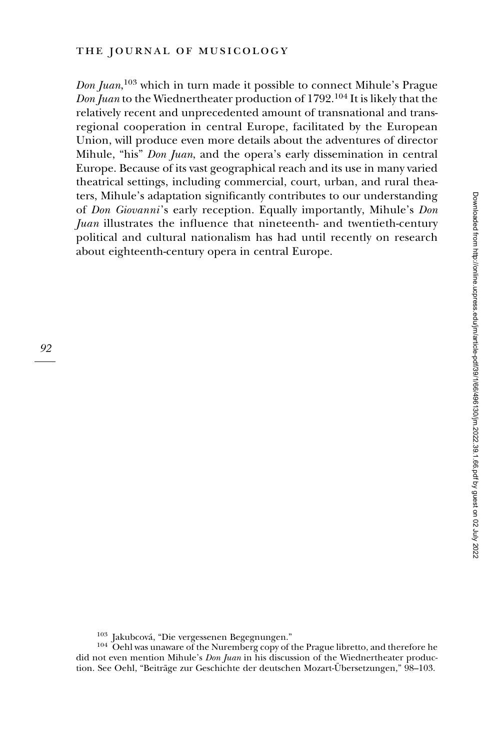Don Juan, <sup>103</sup> which in turn made it possible to connect Mihule's Prague Don Juan to the Wiednertheater production of 1792.<sup>104</sup> It is likely that the relatively recent and unprecedented amount of transnational and transregional cooperation in central Europe, facilitated by the European Union, will produce even more details about the adventures of director Mihule, "his" Don Juan, and the opera's early dissemination in central Europe. Because of its vast geographical reach and its use in many varied theatrical settings, including commercial, court, urban, and rural theaters, Mihule's adaptation significantly contributes to our understanding of Don Giovanni's early reception. Equally importantly, Mihule's Don Juan illustrates the influence that nineteenth- and twentieth-century political and cultural nationalism has had until recently on research about eighteenth-century opera in central Europe.

 $103$  Jakubcová, "Die vergessenen Begegnungen."<br> $104$  Oehl was unaware of the Nuremberg copy of the Prague libretto, and therefore he did not even mention Mihule's *Don Juan* in his discussion of the Wiednertheater production. See Oehl, "Beiträge zur Geschichte der deutschen Mozart-Übersetzungen," 98–103.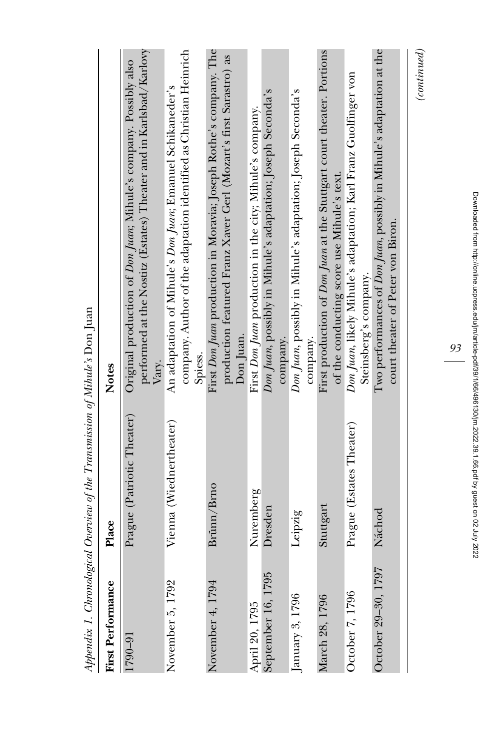|                          | Appendix 1. Chronological Overview of the Transmission of Mihile's Don Juan |                                                                                                                                                         |
|--------------------------|-----------------------------------------------------------------------------|---------------------------------------------------------------------------------------------------------------------------------------------------------|
| <b>First Performance</b> | Place                                                                       | <b>Notes</b>                                                                                                                                            |
| 1790-91                  | Prague (Patriotic Theater)                                                  | performed at the Nostitz (Estates) Theater and in Karlsbad/Karlovy<br>Original production of <i>Don Juan</i> ; Mihule's company. Possibly also<br>Vary. |
| November 5, 1792         | Vienna (Wiednertheater)                                                     | company. Author of the adaptation identified as Christian Heinrich<br>An adaptation of Mihule's Don Juan; Emanuel Schikaneder's<br>Spiess.              |
| November 4, 1794         | Brünn/Brno                                                                  | First Don Juan production in Moravia; Joseph Rothe's company. The<br>production featured Franz Xaver Gerl (Mozart's first Sarastro) as<br>Don Juan.     |
| April 20, 1795           | Nuremberg                                                                   | First Don Juan production in the city; Mihule's company.                                                                                                |
| September 16, 1795       | Dresden                                                                     | Don Juan, possibly in Mihule's adaptation; Joseph Seconda's<br>company.                                                                                 |
| January 3, 1796          | Leipzig                                                                     | Don Juan, possibly in Mihule's adaptation; Joseph Seconda's<br>company.                                                                                 |
| March 28, 1796           | Stuttgart                                                                   | First production of Don Juan at the Stuttgart court theater. Portions<br>of the conducting score use Mihule's text.                                     |
| October 7, 1796          | Prague (Estates Theater)                                                    | Don Juan, likely Mihule's adaptation; Karl Franz Guolfinger von<br>Steinsberg's company.                                                                |
| October 29–30, 1797      | Náchod                                                                      | Two performances of <i>Don Juan</i> , possibly in Mihule's adaptation at the<br>court theater of Peter von Biron.                                       |
|                          |                                                                             | $_{(continued)}$                                                                                                                                        |

Appendix 1. Chronological Overview of the Transmission of Mihule's Don Juan  $\overline{a}$  $\dot{z}$  $C_1$   $A_2$   $A_3$   $A_4$   $A_5$   $A_6$  $\ddot{\phantom{0}}$  $\ddot{\phantom{0}}$  $\mathbf{F}$ , j. l,  $\zeta$ , ï  $\tilde{\zeta}$ l,  $\ddot{ }$  $\ddot{\phantom{0}}$ 

Downloaded from http://online.ucpress.edu/jm/article-pdf/39/1/66/496130/jm.2022.39.1.66.pdf by guest on 02 July 2022 Downloaded from http://online.ucpress.edu/jm/article-pdf/39/1/66/496130/jm.2022.39.1.66.pdf by guest on 02 July 2022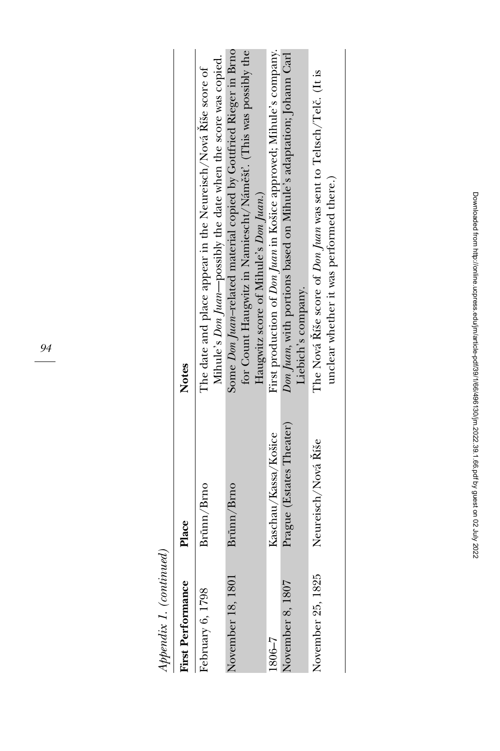Appendix 1. (continued) Appendix 1. (continued)

| <b>First Performance</b> | Place                    | Notes                                                                                                                                                                        |
|--------------------------|--------------------------|------------------------------------------------------------------------------------------------------------------------------------------------------------------------------|
| February 6, 1798         | Brünn/Brno               | Mihule's Don Juan-possibly the date when the score was copied.<br>The date and place appear in the Neureisch/Nová Riše score of                                              |
| November 18, 1801        | Brünn/Brno               | Some Don Juan-related material copied by Gottfried Rieger in Brno<br>for Count Haugwitz in Namiescht/Náměšť. (This was possibly the<br>Haugwitz score of Mihule's Don Juan.) |
| $5 - 308$                | Kaschau/Kassa/Kosice     | First production of Don Juan in Košice approved; Mihule's company.                                                                                                           |
| November 8, 1807         | Prague (Estates Theater) | Don Juan, with portions based on Mihule's adaptation; Johann Carl<br>Liebich's company.                                                                                      |
| November 25, 1825        | Neureisch/Nová Říše      | The Nová Ríše score of Don Juan was sent to Teltsch/Telč. (It is<br>unclear whether it was performed there.)                                                                 |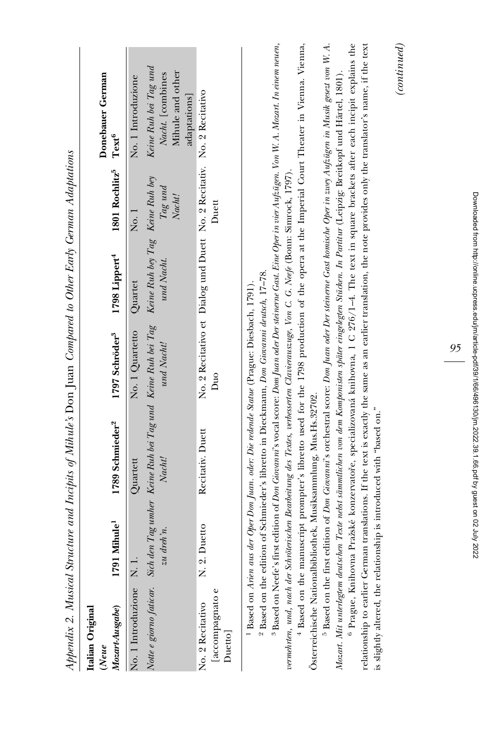|                                                |                                                        | Appendix 2. Musical Structure and Incipits of Mihule's Don Juan Compared to Other Early German Adaptations                                                                                                                                                                                                                                                                                                                                                                                                                                                                                                                                                       |                                                                               |                                                          |                               |                                                                                                                                                                                                                                                                                                                                                                                                                                                                                                                                                                                                                                                                                                                                                                                                                                             |
|------------------------------------------------|--------------------------------------------------------|------------------------------------------------------------------------------------------------------------------------------------------------------------------------------------------------------------------------------------------------------------------------------------------------------------------------------------------------------------------------------------------------------------------------------------------------------------------------------------------------------------------------------------------------------------------------------------------------------------------------------------------------------------------|-------------------------------------------------------------------------------|----------------------------------------------------------|-------------------------------|---------------------------------------------------------------------------------------------------------------------------------------------------------------------------------------------------------------------------------------------------------------------------------------------------------------------------------------------------------------------------------------------------------------------------------------------------------------------------------------------------------------------------------------------------------------------------------------------------------------------------------------------------------------------------------------------------------------------------------------------------------------------------------------------------------------------------------------------|
| Mozart-Ausgabe)<br>Italian Original<br>(Neue   | Mihule <sup>1</sup><br>1791                            | 1789 Schmieder <sup>2</sup>                                                                                                                                                                                                                                                                                                                                                                                                                                                                                                                                                                                                                                      | 1797 Schröder <sup>3</sup>                                                    | 1798 Lippert <sup>4</sup>                                | 1801 Rochlitz <sup>5</sup>    | Donebauer German<br>Text <sup>6</sup>                                                                                                                                                                                                                                                                                                                                                                                                                                                                                                                                                                                                                                                                                                                                                                                                       |
| No. 1 Introduzione                             | $\partial$ dreh'n.<br>$\overline{z}u$<br>$\frac{1}{2}$ | Notte e giorno faticar. Sich den Tag umher Keine Ruh bei Tag und Keine Ruh bei Tag<br>Nacht!<br>Quartett                                                                                                                                                                                                                                                                                                                                                                                                                                                                                                                                                         | No. 1 Quartetto<br>und Nacht!                                                 | Keine Ruh bey Tag Keine Ruh bey<br>und Nacht.<br>Quartet | $Tag\; und$<br>Nacht!<br>No.1 | Keine Ruh bei Tag und<br>Mihule and other<br>Nacht. [combines<br>No. 1 Introduzione<br>adaptations                                                                                                                                                                                                                                                                                                                                                                                                                                                                                                                                                                                                                                                                                                                                          |
| [accompagnato e<br>No. 2 Recitativo<br>Duetto] | Duetto<br>X. 2.                                        | Recitativ. Duett                                                                                                                                                                                                                                                                                                                                                                                                                                                                                                                                                                                                                                                 | No. 2 Recitativo et Dialog und Duett No. 2 Recitativ. No. 2 Recitativo<br>Duo |                                                          | Duett                         |                                                                                                                                                                                                                                                                                                                                                                                                                                                                                                                                                                                                                                                                                                                                                                                                                                             |
|                                                |                                                        | Mozart. Mit unterlegtem deutschen Texte nebst sämmlichen von dem Komponisten später eingelegten Stücken. In Partitur (Leipzig: Breitkopf und Härtel, 1801).<br>vermehrten, und, nach der Schröterischen Bearbeitung des Textes, verbesserten Clavierauszuge, Von C. G. Neefe (Bonn: Sinnock, 1797).<br><sup>2</sup> Based on the edition of Schmieder's libretto in Dieckmann, Don Giovanni deutsch, 17-78.<br><sup>1</sup> Based on Arien aus der Oper Don Juan. oder: Die redende Statue (Prague: Diesbach, 1791).<br>Österreichische Nationalbibliothek, Musiksammlung, Mus.Hs.32702.<br>is slightly altered, the relationship is introduced with "based on." |                                                                               |                                                          |                               | <sup>3</sup> Based on Neefe's first edition of Don Giovanni's vocal score: Dom Juan oder Der steineme Gast. Eine Oper in vier Aufzügen. Von W. A. Mozart. In einem neuen,<br><sup>4</sup> Based on the manuscript prompter's libretto used for the 1798 production of the opera at the Imperial Court Theater in Vienna. Vienna,<br><sup>5</sup> Based on the first edition of Don Giovanni's orchestral score: Don Juan oder Der steinerne Gast homische Oper in zuey Aufzügen in Musik gesezt von W. A.<br>6 Prague, Knihovna Pražské konzervatoře, specializovaná knihovna, 1 C 276/1-4. The text in square brackets after each incipit explains the<br>relationship to earlier German translations. If the text is exactly the same as an earlier translation, the note provides only the translator's name, if the text<br>(continued) |

Downloaded from http://online.ucpress.edu/jm/article-pdf/39/1/66/496130/jm.2022.39.1.66.pdf by guest on 02 July 2022 Downloaded from http://online.ucpress.edu/jm/article-pdf/39/1/66/496130/jm.2022.39.1.66.pdf by guest on 02 July 2022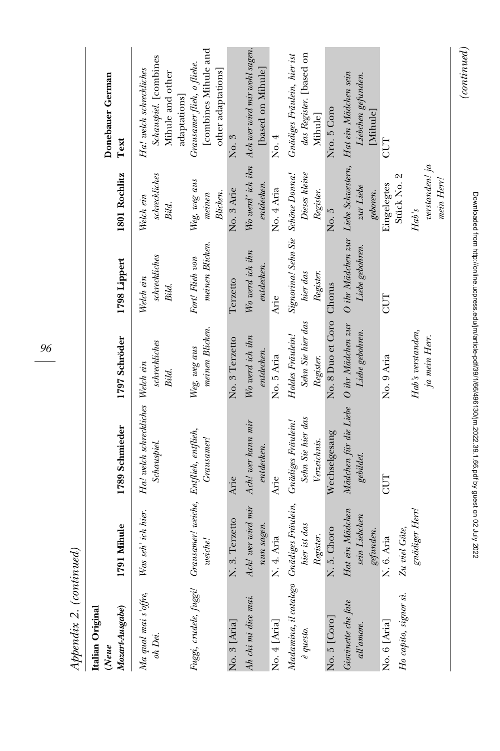| Mozart-Ausgabe)<br>Italian Original<br>(Neue                          | 1791 Mihule                                   | 1789 Schmieder                                                 | 1797 Schröder                                      | 1798 Lippert                                               | 1801 Rochlitz                         | Donebauer German<br>Text                                                             |
|-----------------------------------------------------------------------|-----------------------------------------------|----------------------------------------------------------------|----------------------------------------------------|------------------------------------------------------------|---------------------------------------|--------------------------------------------------------------------------------------|
| Ma qual mai s'offre,<br>oh Dei.                                       | Was seh' ich hier.                            | Ha! welch schreckliches Welch ein<br>Schauspiel.               | schreckliches<br>Bild.                             | schreckliches<br>Welch ein<br>Bild.                        | schreckliches<br>Welch ein<br>Bild.   | Schauspiel. [combines<br>Ha! welch schreckliches<br>Mihule and other<br>adaptations] |
| Fuggi, crudele, fuggi! Grausamer! weiche, Entflieh, entflieh,         | weiche!                                       | Grausamer!                                                     | meinen Blicken.<br>Weg, weg aus                    | meinen Blicken.<br>Fort! Flieh von                         | Weg, weg aus<br>Blicken.<br>mean      | [combines Mihule and<br>Grausamer flieh, o fliehe.<br>other adaptations]             |
| No. 3 [Aria]                                                          | 3. Terzetto<br>Ż                              | Arie                                                           | No. 3 Terzetto                                     | Terzetto                                                   | No. 3 Arie                            | No. 3                                                                                |
| Ah chi mi dice mai.                                                   | Ach! wer wird mir<br>nun sagen.               | Ach! wer kann mir<br>entdecken.                                | Wo werd ich ihn<br>entdecken.                      | Wo werd ich ihn<br>entdecken.                              | entdecken.                            | Wo werd'ich ihn Ach wer wird mir wohl sagen.<br>[based on Mihule]                    |
| No. 4 [Aria]                                                          | 4. Aria<br>$\overline{\mathbf{z}}$            | Arie                                                           | No. 5 Aria                                         | Arie                                                       | No. 4 Aria                            | No. 4                                                                                |
| Madamina, il catalogo Gnädiges Fräulein,<br>$\stackrel{.}{e}$ questo. | hier ist das<br>Register.                     | Sehn Sie hier das<br><b>Gnädiges</b> Fräulein!<br>Verzeichnis. | Sehn Sie hier das<br>Holdes Fräulein!<br>Register. | Signorina! Sehn Sie Schöne Donna!<br>hier das<br>Register. | Dieses kleine<br>Register.            | das Register. [based on<br>Gnädiges Fräulein, hier ist<br><b>Mihule</b>              |
| No. 5 [Coro]                                                          | 5. Choro<br>Ż                                 | Wechselgesang                                                  | No. 8 Duo et Coro                                  | Chorus                                                     | No. 5                                 | Nro. 5 Coro                                                                          |
| Giovinette che fate<br>all'amore.                                     | Hat ein Mädchen<br>sein Liebchen<br>gefunden. | Mädchen für die Liebe O ihr Mädchen zur<br>gebildet.           | Liebe gebohren.                                    | O ihr Mädchen zur Liebe Schwestern,<br>Liebe gebohren.     | zur Liebe<br>geboren.                 | Hat ein Mädchen sein<br>Liebchen gefunden.<br>[Mihule]                               |
| Ho capito, signor sì.<br>No. 6 [Aria]                                 | Zu viel Güte,<br>N. 6. Aria                   | CUT                                                            | No. 9 Aria                                         | CUT                                                        | Stück No. 2<br>Eingelegtes            | CUT                                                                                  |
|                                                                       | gnädiger Herr!                                |                                                                | Hab's verstanden,<br>ja mein Herr.                 |                                                            | verstanden! ja<br>mein Herr!<br>Hab's |                                                                                      |
|                                                                       |                                               |                                                                |                                                    |                                                            |                                       | (continued)                                                                          |

Downloaded from http://online.ucpress.edu/jm/article-pdf/39/1/66/496130/jm.2022.39.1.66.pdf by guest on 02 July 2022

Downloaded from http://online.ucpress.edu/jm/article-pdf139/1/66/496130/jm.2022.39.1.66.pdf by guest on 02 July 2022

96

Appendix 2. (continued) Appendix 2. (continued)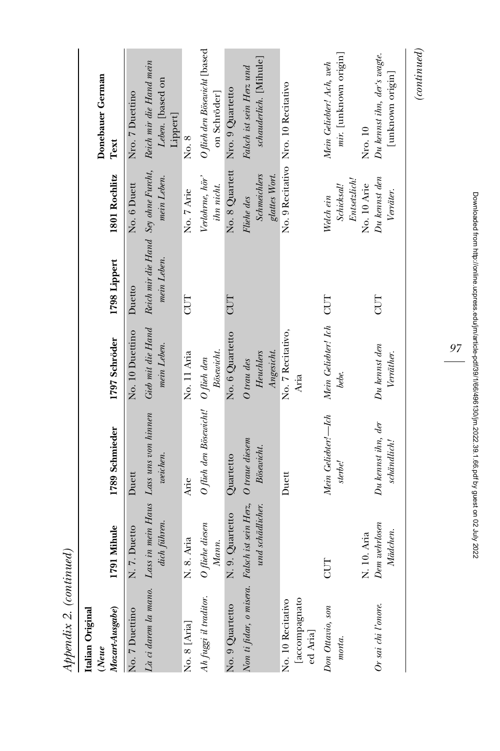| Italian Original<br>$(Neue$                                     |                                          |                                                   |                                       |              |                                                    | Donebauer German                                                                            |
|-----------------------------------------------------------------|------------------------------------------|---------------------------------------------------|---------------------------------------|--------------|----------------------------------------------------|---------------------------------------------------------------------------------------------|
| Mozart-Ausgabe)                                                 | 1791 Mihule                              | 1789 Schmieder                                    | 1797 Schröder                         | 1798 Lippert | 1801 Rochlitz                                      | Text                                                                                        |
| No. 7 Duettino                                                  | 7. Duetto<br>ż                           | Duett                                             | No. 10 Duettino                       | Duetto       | No. 6 Duett                                        | Nro. 7 Duettino                                                                             |
| Là ci darem la mano.                                            | dich führen.                             | Lass in mein Haus Lass uns von hinnen<br>weichen. | Gieb mit die Hand<br>mein Leben.      | mein Leben.  | mein Leben.                                        | Reich mir die Hand Sey ohne Furcht, Reich mir die Hand mein<br>Leben. [based on<br>Lippert] |
| No. 8 [Aria]                                                    | 8. Aria<br>z                             | Arie                                              | No. 11 Aria                           | CUT          | No. 7 Arie                                         | No. 8                                                                                       |
| Ah fuggi il traditor.                                           | fliehe diesen<br>Mann.                   | O füeh den Bösewicht!                             | Bösewicht.<br>$O$ fieh den            |              | Verlohrne, hör'<br>ihn nicht.                      | O flieh den Bösewicht [based<br>on Schröder]                                                |
| No. 9 Quartetto                                                 | 9. Quartetto<br>ż                        | Quartetto                                         | No. 6 Quartetto                       | CUT          | No. 8 Quartett                                     | Nro. 9 Quartetto                                                                            |
| Non ti fidar, o misera.  Falsch ist sein Herz,                  | und schädlicher.                         | O traue diesem<br>Bösewicht.                      | Angesicht.<br>Heuchlers<br>O trau des |              | <b>Schmeichlers</b><br>glattes Wort.<br>Fliehe des | schauderlich. [Mihule]<br>Falsch ist sein Herz und                                          |
| [accompagnato<br>No. 10 Recitativo<br>$\operatorname{ed}$ Aria] |                                          | Duett                                             | No. 7 Recitativo,<br>Aria             |              |                                                    | No. 9 Recitativo Nro. 10 Recitativo                                                         |
| Don Ottavio, son<br>morta.                                      | CUT                                      | Mein Geliebter!-Ich<br>sterbe!                    | Mein Geliebter! Ich CUT<br>bebe.      |              | Entsetzlich!<br>Schicksal!<br>Welch ein            | mir. [unknown origin]<br>Mein Geliebter! Ach, weh                                           |
| Or sai chi l'onore.                                             | Dem wehrlosen<br>Mädchen.<br>N. 10. Aria | Du kennst ihn, der<br>schändlich!                 | $Du$ kennst den<br>Verräther.         | CUT          | Du kennst den<br>No. 10 Arie<br>Verräter.          | Du kennst ihn, der's wagte.<br>[unknown origin]<br>Nro. 10                                  |
|                                                                 |                                          |                                                   |                                       |              |                                                    | $_{(continued)}$                                                                            |

Appendix 2. (continued) Appendix 2. (continued)

97

Downloaded from http://online.ucpress.edu/jm/article-pdf139/1/66/496130/jm.2022.39.1.66.pdf by guest on 02 July 2022 Downloaded from http://online.ucpress.edu/jm/article-pdf/39/1/66/496130/jm.2022.39.1.66.pdf by guest on 02 July 2022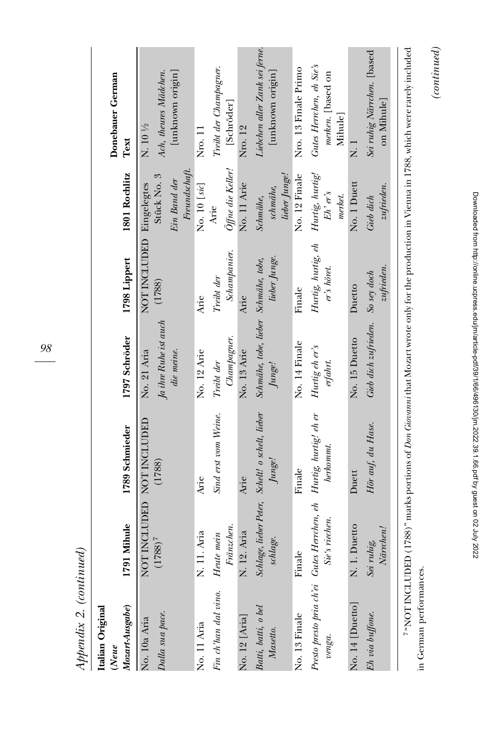| pono<br>l<br>$\frac{1}{2}$<br>š<br>cos |  |
|----------------------------------------|--|
| i<br>$\epsilon$                        |  |
| i dim<br>Ľ                             |  |

| Italian Original<br>(Neue                                                        |                           |                                                 |                                      |                                   |                                           | Donebauer German                                         |
|----------------------------------------------------------------------------------|---------------------------|-------------------------------------------------|--------------------------------------|-----------------------------------|-------------------------------------------|----------------------------------------------------------|
| Mozart-Ausgabe)                                                                  | 1791 Mihule               | 1789 Schmieder                                  | 1797 Schröder                        | 1798 Lippert                      | 1801 Rochlitz                             | Text                                                     |
| No. 10a Aria                                                                     | NOT INCLUDED NOT INCLUDED |                                                 | No. 21 Aria                          | NOT INCLUDED                      | Eingelegtes                               | N. 10 1/2                                                |
| Dalla sua pace.                                                                  | $(1788)^{7}$              | (1788)                                          | Ja ihre Ruhe ist auch                | (1788)                            | Stück No. 3                               | Ach, theures Mädchen.                                    |
|                                                                                  |                           |                                                 | die meine.                           |                                   | Ein Band der                              | [unknown origin]                                         |
|                                                                                  |                           |                                                 |                                      |                                   | Freundschaft.                             |                                                          |
| No. 11 Aria                                                                      | N. 11. Aria               | Arie                                            | No. 12 Arie                          | Arie                              | No. 10 [sic]                              | Nro. 11                                                  |
| Fin ch'han dal vino.                                                             | Heute mein                | Sind erst vom Weine.                            | Treibt der                           | Treibt der                        | Arie                                      | Treibt der Champagner.                                   |
|                                                                                  | Fränzchen.                |                                                 | Champagner.                          | Schampanier.                      | Öffne die Keller!                         | [Schröder]                                               |
| No. 12 [Aria]                                                                    | N. 12. Aria               | Arie                                            | No. 13 Arie                          | Arie                              | No. 11 Arie                               | Nro. 12                                                  |
| Batti, batti, o bel                                                              |                           | Schlage, lieber Peter, Schelt! o schelt, lieber | Schmähe, tobe, lieber Schmähe, tobe, |                                   | Schmähe,                                  | Liebchen aller Zank sei ferne.                           |
| Masetto.                                                                         | schlage.                  | Junge!                                          | Junge!                               | lieber Junge.                     | lieber Junge!<br>schmähe,                 | [unknown origin]                                         |
| No. 13 Finale                                                                    | Finale                    | Finale                                          | No. 14 Finale                        | Finale                            | No. 12 Finale                             | Nro. 13 Finale Primo                                     |
| Presto presto pria ch'ei Gutes Herrchen, eh Hurtig, hurtig! eh er<br>$\nu enga.$ | Sie's riechen.            | herkommt.                                       | Hurtig eh er's<br>erfahrt.           | Hurtig, hurtig, eh<br>er's höret. | Hurtig, hurtig!<br>$Eh$ ' er's<br>merket. | Gutes Herrchen, eh Sie's<br>merken. [based on<br>Mihule] |
| No. 14 [Duetto]                                                                  | N. 1. Duetto              | Duett                                           | No. 15 Duetto                        | Duetto                            | No. 1 Duett                               | -<br>Z                                                   |
| Eh via buffone.                                                                  | Närrchen!<br>Sei ruhig,   | Hör auf, du Hase.                               | Gieb dich zufrieden.                 | zufrieden.<br>So sey doch         | zufrieden.<br>Gieb dich                   | Sei ruhig Närrchen. [based<br>on Mihule]                 |
|                                                                                  |                           |                                                 |                                      |                                   |                                           |                                                          |

 $\label{eq:constrained} (continued)$ 7 "NOT INCLUDED (1788)" marks portions of Don Giovannithat Mozart wrote only for the production in Vienna in 1788, which were rarely included "NOT INCLUDED (1788)" marks portions of Don Giovanni that Mozart wrote only for the production in Vienna in 1788, which were rarely included rely included in German performances. in German performances.

(continued)

98

Downloaded from http://online.ucpress.edu/jm/article-pdf/39/1/66/496130/jm.2022.39.1166.pdf by guest on 02 July 2022 Downloaded from http://online.ucpress.edu/jm/article-pdf/39/1/66/496130/jm.2022.39.1.66.pdf by guest on 02 July 2022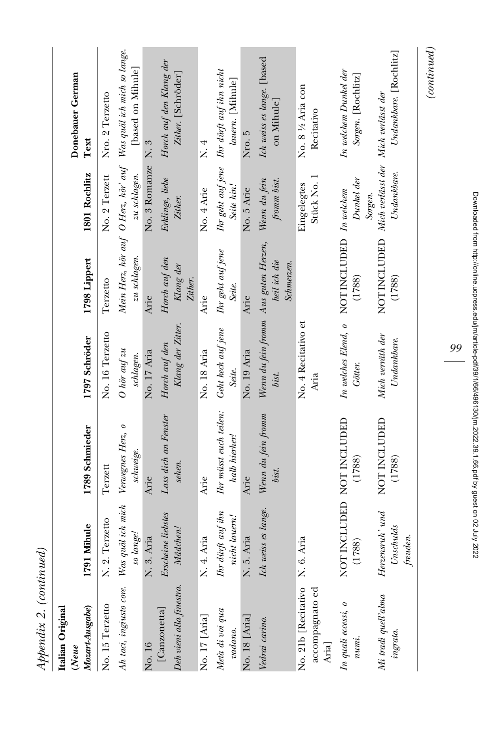| $Appendix$ 2. (continued)                       |                                          |                                         |                                                        |                                                            |                             |                                                                                      |
|-------------------------------------------------|------------------------------------------|-----------------------------------------|--------------------------------------------------------|------------------------------------------------------------|-----------------------------|--------------------------------------------------------------------------------------|
| Mozart-Ausgabe)<br>Italian Original<br>(Neue    | 1791 Mihule                              | 1789 Schmieder                          | 1797 Schröder                                          | 1798 Lippert                                               | 1801 Rochlitz               | Donebauer German<br>Text                                                             |
| No. 15 Terzetto                                 | 2. Terzetto<br>Ż                         | Terzett                                 | No. 16 Terzetto                                        | Terzetto                                                   | No. 2 Terzett               | Nro. 2 Terzetto                                                                      |
| Ah taci, ingiusto core.                         | Was quäl ich mich<br>so lange!           | Verwegnes Herz, o<br>schweige.          | $O$ hör auf zu<br>schlagen.                            | zu schlagen.                                               | zu schlagen.                | Mein Herz, hör auf O Herz, hör' auf Was quäl ich mich so lange.<br>[based on Mihule] |
| No. 16                                          | 3. Aria<br>ż                             | Arie                                    | No. 17 Aria                                            | Arie                                                       | No. 3 Romanze               | $\overline{N}$ . 3                                                                   |
| Deh vieni alla finestra.<br>[Canzonetta]        | Erscheine liebstes<br>Mädchen!           | Lass dich an Fenster<br>sehen.          | Klang der Zitter.<br>Horch auf den                     | Horch auf den<br>Klang der<br>Zither.                      | Erklinge, liebe<br>Zither.  | Horch auf den Klang der<br>Zither. [Schröder]                                        |
| No. 17 [Aria]                                   | 4. Aria<br>z                             | Arie                                    | No. 18 Aria                                            | Arie                                                       | No. 4 Arie                  | $\overline{X}$ . 4                                                                   |
| Meta di voi qua<br>vadano.                      | Ihr dürft auf ihn<br>nicht lauern!       | Ihr müsst euch teilen:<br>halb hierher! | Geht keck auf jene<br>Seite.                           | Ihr geht auf jene<br>Seite.                                | Seite hin!                  | Ihr geht auf jene Ihr dürft auf ihn nicht<br>lauern. [Mihule]                        |
| No. 18 [Aria]                                   | 5. Aria<br>ż                             | Arie                                    | No. 19 Aria                                            | Arie                                                       | No. 5 Arie                  | Nro. 5                                                                               |
| Vedrai carino.                                  | Ich weiss es lange.                      | Wenn du fein fromm<br>bist.             | Wenn du fein fromm Aus guten Herzen,<br>bist.          | heil ich die<br>Schmerzen.                                 | Wenn du fein<br>fromm bist. | Ich weiss es lange. [based<br>on Mihule]                                             |
| No. 21b [Recitativo<br>accompagnato ed<br>Aria] | 6. Aria<br>Ż                             |                                         | No. 4 Recitativo et<br>Aria                            |                                                            | Stück No. 1<br>Eingelegtes  | No. 8 1/2 Aria con<br>Recitativo                                                     |
| In quali eccessi, o<br>$numi$ .                 | NOT INCLUDED NOT INCLUDED<br>(1788)      | (1788)                                  | In welches Elend, o NOT INCLUDED In welchem<br>Götter. | (1788)                                                     | Dunkel der<br>Sorgen.       | In welchem Dunkel der<br>Sorgen. [Rochlitz]                                          |
| Mi tradi quell'alma<br>ingrata.                 | $Hersensm'$ and<br>Unschulds<br>freuden. | NOT INCLUDED<br>(1788)                  | Mich verräth der<br>Undankbare.                        | NOT INCLUDED Mich verlässt der Mich verlässt der<br>(1788) | Undankbare.                 | Undankbare. [Rochlitz]                                                               |

Downloaded from http://online.ucpress.edu/jm/article-pdf139/1/66/496130/jm.2022.39.1.66.pdf by guest on 02 July 2022 Downloaded from http://online.ucpress.edu/jm/article-pdf/39/1/66/496130/jm.2022.39.1.66.pdf by guest on 02 July 202299

 $\label{eq:constrained} (continued)$ (continued)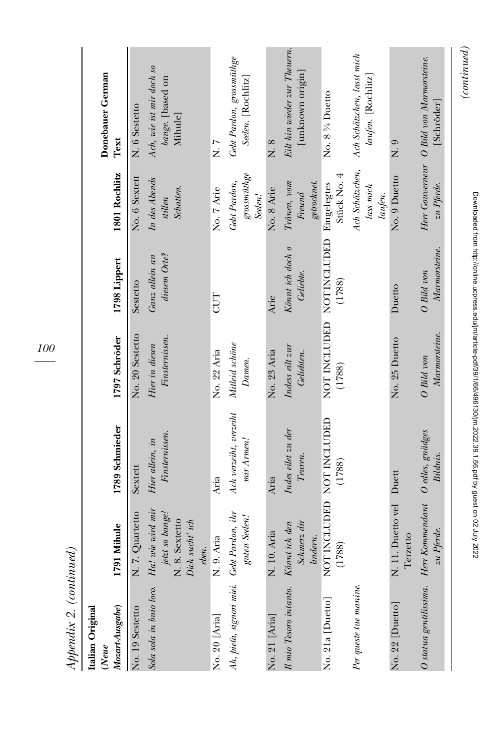| Mozart-Ausgabe)<br>Italian Original<br>(Neue | 791 Mihule                                                                       | 1789 Schmieder                       | 1797 Schröder                                                                                                                                                                                                                                                     | 1798 Lippert                   | 1801 Rochlitz                               | Donebauer German<br>Text                                |
|----------------------------------------------|----------------------------------------------------------------------------------|--------------------------------------|-------------------------------------------------------------------------------------------------------------------------------------------------------------------------------------------------------------------------------------------------------------------|--------------------------------|---------------------------------------------|---------------------------------------------------------|
| No. 19 Sestetto                              | N. 7. Quartetto                                                                  | Sextett                              | No. 20 Sestetto                                                                                                                                                                                                                                                   | Sestetto                       | No. 6 Sextett                               | N. 6 Sestetto                                           |
| Sola sola in buio loco.                      | Ha! wie wird mir<br>jetzt so bange!<br>N. 8. Sextetto<br>Dich sucht'ich<br>eben. | Finsternissen.<br>Hier allein, in    | Finsternissen.<br>Hier in diesen                                                                                                                                                                                                                                  | diesem Orte?<br>Ganz allein an | In des Abends<br><b>Schatten</b><br>stillen | Ach, wie ist mir doch so<br>bange. [based on<br>Mihule] |
| No. 20 [Aria]                                | N. 9. Aria                                                                       | Aria                                 | No. 22 Aria                                                                                                                                                                                                                                                       | CUT                            | No. 7 Arie                                  | r<br>Z                                                  |
| Ah, pieta, signori miei. Gebt Pardon, ihr    | guten Seelen!                                                                    | Ach verzeiht, verzeiht<br>mir Armen! | Mitleid schöne<br>$Damen. % \begin{subfigure}[t]{0.45\textwidth} \includegraphics[width=\textwidth]{figures/cdf} \end{subfigure} \vspace{-1em} \caption{Damen. % Our results are used for the \textit{ex} and \textit{ex} are used to be used. % \label{fig:cdf}$ |                                | grossmüthge<br>Gebt Pardon,<br>Seelen!      | Gebt Pardon, grossmüthge<br>Seelen. [Rochlitz]          |
| No. 21 [Aria]                                | N. 10. Aria                                                                      | Aria                                 | No. 23 Aria                                                                                                                                                                                                                                                       | Arie                           | No. 8 Arie                                  | $\overline{M}$ . 8                                      |
| Il mio Tesoro intanto.                       | Könnt ich den<br>Schmerz dir<br>lindern.                                         | Indes eilet zu der<br>Teuren.        | Indess eilt zur<br>Geliebten.                                                                                                                                                                                                                                     | Könnt ich doch o<br>Geliebte.  | Tränen, vom<br>getrocknet.<br>Freund        | Eilt hin wieder zur Theuern.<br>[unknown origin]        |
| No. 21a [Duetto]                             | NOT INCLUDED NOT INCLUDED<br>(1788)                                              | (1788)                               | NOT INCLUDED NOTINCLUDED<br>(1788)                                                                                                                                                                                                                                | (1788)                         | Stück No. 4<br>Eingelegtes                  | No. 8 % Duetto                                          |
| Per queste tue manime.                       |                                                                                  |                                      |                                                                                                                                                                                                                                                                   |                                | Ach Schätzchen,<br>lass mich<br>laufen.     | Ach Schätzchen, lasst mich<br>laufen. [Rochlitz]        |
| No. 22 [Duetto]                              | N. 11. Duetto vel Duett<br>Terzetto                                              |                                      | No. 25 Duetto                                                                                                                                                                                                                                                     | Duetto                         | No. 9 Duetto                                | o<br>Z                                                  |
| O statua gentilissima.                       | Herr Kommendant O edles, gnädges<br>zu Pferde.                                   | Bildnis.                             | Marmorsteine.<br>O Bild von                                                                                                                                                                                                                                       | Marmorsteine.<br>O Bild von    | zu Pferde.                                  | Herr Gouverneur O Bild von Marmorsteine.<br>[Schröder]  |

100

Appendix 2. (continued) Appendix 2. (continued)

 $\label{eq:constrained} (continued)$ (continued)

> Downloaded from http://online.ucpress.edu/jm/article-pdf139/1/66/496130/jm.2022.39.1.66.pdf by guest on 02 July 2022 Downloaded from http://online.ucpress.edu/jm/article-pdf/39/1/66/496130/jm.2022.39.1.66.pdf by guest on 02 July 2022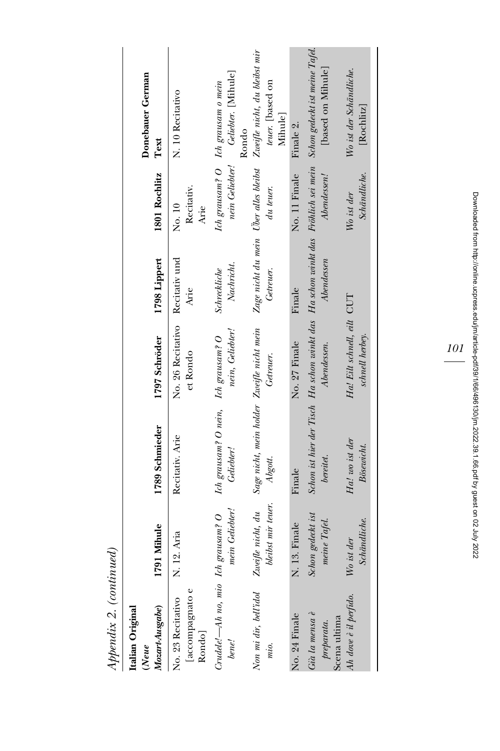| $\Delta$                                                              |                                           |                                                                                               |                                               |                                                    |                              |                                                                   |
|-----------------------------------------------------------------------|-------------------------------------------|-----------------------------------------------------------------------------------------------|-----------------------------------------------|----------------------------------------------------|------------------------------|-------------------------------------------------------------------|
| Mozart-Ausgabe)<br>Italian Original<br>(Neue                          | 11 Mihule<br><b>P21</b>                   | 1789 Schmieder                                                                                | 1797 Schröder                                 | 1798 Lippert                                       | 1801 Rochlitz                | Donebauer German<br>Text                                          |
| [accompagnato e<br>No. 23 Recitativo<br>Rondo                         | 12. Aria<br>ż                             | Recitativ. Arie                                                                               | No. 26 Recitativo<br>et Rondo                 | Recitativ und<br>Arie                              | Recitativ.<br>No. 10<br>Arie | N. 10 Recitativo                                                  |
| Crudele!-Ah no, mio Ich<br>bene!                                      | mein Geliebter!<br>$\mathit{grausam}$ ? O | Ich grausam? O nein, Ich grausam? O<br>Geliebter!                                             | nein, Geliebter!                              | Nachricht.<br><b>Schreckliche</b>                  | nein Geliebter!              | Geliebter. [Mihule]<br>Ich grausam? O Ich grausam o mein<br>Rondo |
| Non mi dir, bell'idol<br>mio.                                         | bleibst mir teuer.<br>Zweifle nicht, du   | Sage nicht, mein holder Zweifle nicht mein<br>Abgott.                                         | Getreuer.                                     | Zage nicht du mein Uber alles bleibst<br>Getreuer. | du teuer.                    | Zweifle nicht, du bleibst mir<br>teuer. [based on<br>Mihule]      |
| No. 24 Finale                                                         | 13. Finale<br>ż                           | Finale                                                                                        | No. 27 Finale                                 | Finale                                             | No. 11 Finale                | Finale 2.                                                         |
| $Gi\dot{a}$ la mensa $\dot{e}$<br>Scena ultima<br>$\emph{preparata}.$ | Schon gedeckt ist<br>meine Tafel.         | Schon ist hier der Tisch Ha schon winkt das Ha schon winkt das Fröhlich sei mein<br>bereitet. | Abendessen.                                   | Abendessen                                         | Abendessen!                  | Schon gedeckt ist meine Tafel.<br>[based on Mihule]               |
| Ah dove è il perfido.                                                 | Schändliche.<br>ist der<br>W <sub>o</sub> | Ha! wo ist der<br>Bösewicht.                                                                  | Ha! Eilt schnell, eilt CUT<br>schnell herbey. |                                                    | Schändliche.<br>Wo ist der   | Wo ist der Schändliche.<br>$\rm Rochliz$                          |

Appendix 2. (continued) Appendix 2. (continued) 101

Downloaded from http://online.ucpress.edu/jm/article-pdf/39/1/66/496130/jm.2022.39.1.66.pdf by guest on 02 July 2022 Downloaded from http://online.ucpress.edu/jm/article-pdf/39/1/66/496130/jm.2022.39.1.66.pdf by guest on 02 July 2022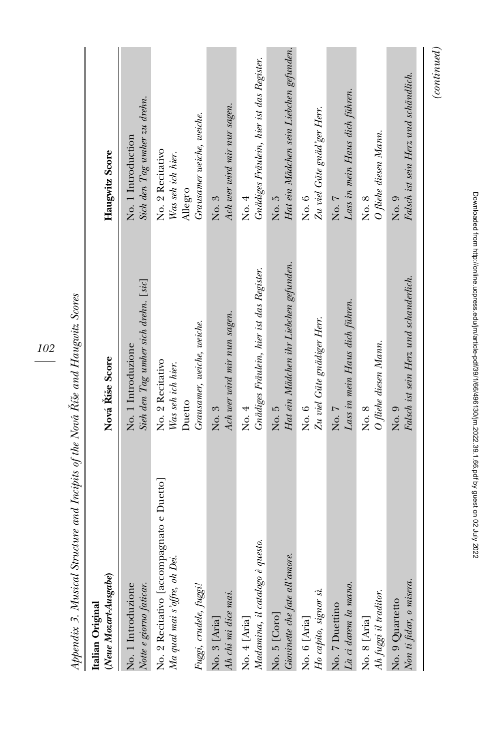| (Neue Mozart-Ausgabe)<br>Italian Original                                                          | Nová Říše Score                                                               | Haugwitz Score                                                                |
|----------------------------------------------------------------------------------------------------|-------------------------------------------------------------------------------|-------------------------------------------------------------------------------|
| Notte e giorno faticar.                                                                            | Sieh den Tag umher sich drehn. [sic]                                          | Sich den Tag umher zu drehn.                                                  |
| No. 1 Introduzione                                                                                 | No. 1 Introduzione                                                            | No. 1 Introduction                                                            |
| No. 2 Recitativo [accompagnato e Duetto]<br>Ma qual mai s'offre, oh Dei.<br>Fuggi, crudele, fuggi! | Grausamer, weiche, weiche.<br>No. 2 Recitativo<br>Was seh ich hier.<br>Duetto | Grausamer weiche, weiche.<br>No. 2 Recitativo<br>Was seh ich hier.<br>Allegro |
| No. 3 [Aria]<br>Ah chi mi dice mai.                                                                | Ach wer wird mir nun sagen.<br>No. 3                                          | Ach wer wird mir nur sagen.<br>No. 3                                          |
| questo.<br>Madamina, il catalogo è i<br>No. 4 [Aria]                                               | Gnädiges Fräulein, hier ist das Register.<br>No. 4                            | Gnädiges Fräulein, hier ist das Register.<br>No. 4                            |
| Giovinette che fate all'amore.                                                                     | Hat ein Mädchen ihr Liebchen gefunden.                                        | Hat ein Mädchen sein Liebchen gefunden.                                       |
| No. 5 [Coro]                                                                                       | No. 5                                                                         | No. 5                                                                         |
| Ho capito, signor sì.                                                                              | Zu viel Güte gnädiger Herr.                                                   | Zu viel Güte gnäd'ger Herr.                                                   |
| No. 6 [Aria]                                                                                       | No. 6                                                                         | $\overline{N}$ o. $6$                                                         |
| ${\it La}$ ci darem la mano.                                                                       | Lass in mein Haus dich führen.                                                | Lass in mein Haus dich führen.                                                |
| No. 7 Duettino                                                                                     | No. 7                                                                         | No. 7                                                                         |
| Ah fuggi il traditor.                                                                              | O fliehe diesen Mann.                                                         | O fiiehe diesen Mann.                                                         |
| $\rm No. \ 8$ [Aria]                                                                               | No. 8                                                                         | No. 8                                                                         |
| Non ti fidar, o misera.                                                                            | Falsch ist sein Herz und schanderlich.                                        | Falsch ist sein Herz und schändlich.                                          |
| No. 9 Quartetto                                                                                    | $_{\rm No.}$                                                                  | No. 9                                                                         |

Appendix 3. Musical Structure and Incipits of the Nova´ ˇ Riše and Haugwitz Scores

102

Downloaded from http://online.ucpress.edu/jm/article-pdf/39/1/66/496130/jm.2022.39.1.66.pdf by guest on 02 July 2022 Downloaded from http://online.ucpress.edu/jm/article-pdf/39/1/66/496130/jm.2022.39.1.66.pdf by guest on 02 July 2022

 $\label{eq:constrained} (continued)$ (continued)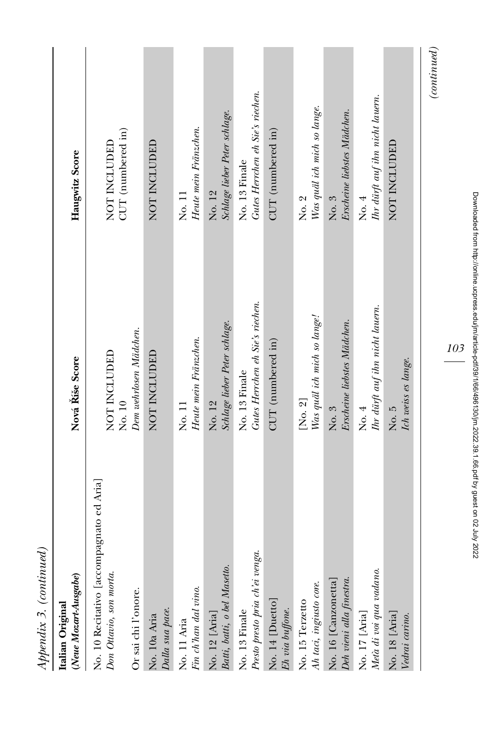| $Appendix$ 3. (continued)                                                                                                              |                                                   |                                                           |
|----------------------------------------------------------------------------------------------------------------------------------------|---------------------------------------------------|-----------------------------------------------------------|
| (Neue Mozart-Ausgabe)<br>Italian Original                                                                                              | Nová Říše Score                                   | Haugwitz Score                                            |
| No. 10 Recitativo [accompagnato ed Aria]<br>Don Ottavio, son morta.                                                                    | NOT INCLUDED<br>No. 10                            | $\ensuremath{\mathrm{CUT}}$ (numbered in)<br>NOT INCLUDED |
| Or sai chi l'onore.<br>Dalla sua pace.<br>No. 10a Aria                                                                                 | Dem wehrlosen Mädchen.<br>NOT INCLUDED            | NOT INCLUDED                                              |
| $\label{eq:lin} \begin{minipage}{0.4\linewidth} \textit{Fin} \textit{ch'han}\textit{dal} \textit{vino}. \end{minipage}$<br>No. 11 Aria | Heute mein Fränzchen.<br>No. 11                   | Heute mein Fränzchen.<br>No. 11                           |
| Batti, batti, o bel Masetto.<br>No. 12 [Aria]                                                                                          | Schlage lieber Peter schlage.<br>No. 12           | Schlage lieber Peter schlage.<br>No. 12                   |
| Presto presto pria ch'ei venga.<br>No. 13 Finale                                                                                       | Gutes Herrchen eh Sie's riechen.<br>No. 13 Finale | Gutes Herrchen eh Sie's riechen.<br>No. 13 Finale         |
| No. 14 [Duetto]<br>Eh via buffone.                                                                                                     | CUT (numbered in)                                 | CUT (numbered in)                                         |
| Ah taci, ingiusto core.<br>No. 15 Terzetto                                                                                             | Was quäl ich mich so lange!<br>[No. 2]            | Was quäl ich mich so lange.<br>No. 2                      |
| No. 16 [Canzonetta]<br>Deh vieni alla finestra.                                                                                        | Erscheine liebstes Mädchen.<br>No. 3              | Erscheine liebstes Mädchen.<br>No. 3                      |
| Metà di voi qua vadano.<br>No. 17 [Aria]                                                                                               | Ihr dürft auf ihn nicht lauern.<br>No. 4          | Ihr dürft auf ihn nicht lauern.<br>No. 4                  |
| No. 18 [Aria]<br>Vedrai carino.                                                                                                        | Ich weiss es lange.<br>No. 5                      | NOT INCLUDED                                              |
|                                                                                                                                        |                                                   |                                                           |

Downloaded from http://online.ucpress.edu/jm/article-pdf139/1/66/496130/jm.2022.39.1.66.pdf by guest on 02 July 2022 Downloaded from http://online.ucpress.edu/jm/article-pdf/39/1/66/496130/jm.2022.39.1.66.pdf by guest on 02 July 2022

103

# $\label{eq:constrained} (continued)$ (continued)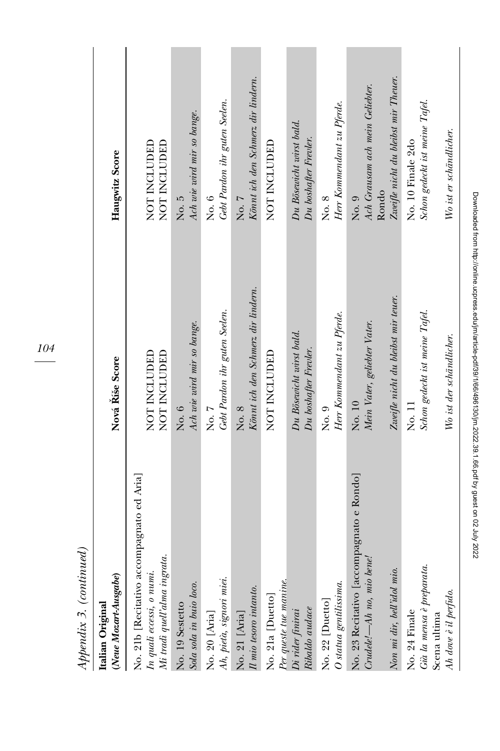| l mn<br>$H^{even}$                                                                                        |                                                   |                                                     |
|-----------------------------------------------------------------------------------------------------------|---------------------------------------------------|-----------------------------------------------------|
| (Neue Mozart-Ausgabe)<br>Italian Original                                                                 | Nová Říše Score                                   | Haugwitz Score                                      |
| No. 21b [Recitativo accompagnato ed Aria]<br>Mi tradì quell'alma ingrata.<br>In quali eccessi, o $numi$ . | NOT INCLUDED<br>NOT INCLUDED                      | NOT INCLUDED<br>NOT INCLUDED                        |
| Sola sola in buio loco.<br>No. 19 Sestetto                                                                | Ach wie wird mir so bange.<br>No. 6               | Ach wie wird mir so bange.<br>No. 5                 |
| Ah, pieta, signori miei.<br>No. 20 [Aria]                                                                 | Gebt Pardon ihr guten Seelen.<br>No. 7            | Gebt Pardon ihr guten Seelen.<br>No. 6              |
| $\Pi$ mio tesoro intanto.<br>No. 21 [Aria]                                                                | Könnt ich den Schmerz dir lindern.<br>No. 8       | Könnt ich den Schmerz dir lindern.<br>No. 7         |
| No. 21a [Duetto]                                                                                          | NOT INCLUDED                                      | NOT INCLUDED                                        |
| Per queste tue manine.<br>Di rider finirai<br>Ribaldo audace                                              | Du Bösewicht wirst bald.<br>Du boshafter Frevler. | Du Bösewicht wirst bald.<br>Du boshafter Frevler.   |
| O statua gentilissima.<br>No. 22 [Duetto]                                                                 | Herr Kommendant zu Pferde.<br>No. 9               | Herr Kommendant zu Pferde.<br>No. 8                 |
| No. 23 Recitativo [accompagnato e Rondo]<br>$Crudele' - Ah$ no, mio bene!                                 | Mein Vater, geliebter Vater.<br>No. 10            | Ach Grausam ach mein Geliebter.<br>Rondo<br>No. 9   |
| Non mi dir, bell'idol mio.                                                                                | Zweifle nicht du bleibst mir teuer.               | Zweifle nicht du bleibst mir Theuer.                |
| Già la mensa è preparata<br>No. 24 Finale<br>Scena ultima                                                 | Schon gedeckt ist meine Tafel.<br>No. 11          | Schon gedeckt ist meine Tafel.<br>No. 10 Finale 2do |
| Ah dove è il perfido.                                                                                     | Wo ist der schändlicher.                          | Wo ist er schändlicher.                             |

104

Appendix 3. (continued) Appendix 3. (continued) Downloaded from http://online.ucpress.edu/jm/article-pdf/39/1/66/496130/jm.2022.39.1.66.pdf by guest on 02 July 2022 Downloaded from http://online.ucpress.edu/jm/article-pdf/39/1/66/496130/jm.2022.39.1.66.pdf by guest on 02 July 2022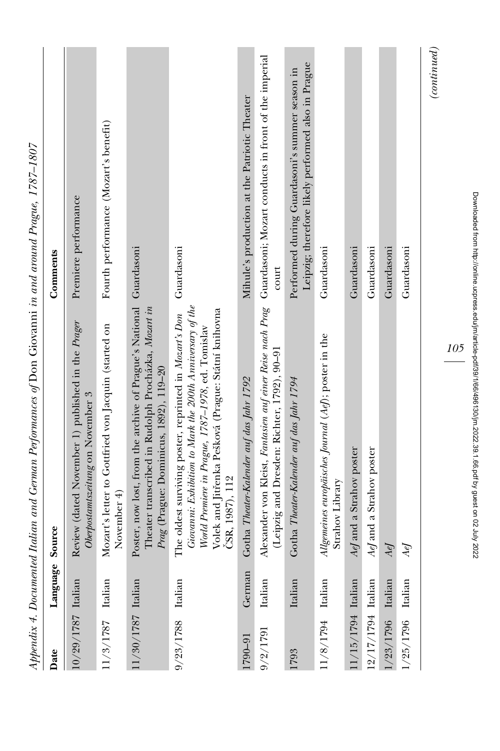|                      |         | approach a Documented House of Daniel Change of Daniel Change of Daniel Changer and the Changer of the Changer of the Changer of the Changer of the Changer of the Changer of the Changer of the Changer of the Changer of the                     |                                                                                                      |
|----------------------|---------|----------------------------------------------------------------------------------------------------------------------------------------------------------------------------------------------------------------------------------------------------|------------------------------------------------------------------------------------------------------|
| Date                 | Languag | Source                                                                                                                                                                                                                                             | Comments                                                                                             |
| 10/29/1787 Italian   |         | Review (dated November 1) published in the Prager<br>Oberpostamtszeitung on November 3                                                                                                                                                             | Premiere performance                                                                                 |
| 11/3/1787 Italian    |         | Mozart's letter to Gottfried von Jacquin (started on<br>November 4)                                                                                                                                                                                | Fourth performance (Mozart's benefit)                                                                |
| $11/30/1787$ Italian |         | Poster, now lost, from the archive of Prague's National Guardasoni<br>Theater transcribed in Rudolph Procházka, Mozart in<br>Prag (Prague: Dominicus, 1892), 119-20                                                                                |                                                                                                      |
| 9/23/1788 Italian    |         | Giovanni: Exhibition to Mark the 200th Anniversary of the<br>Volek and Jitřenka Pešková (Prague: Státní knihovna<br>The oldest surviving poster, reprinted in Mozart's Don<br>World Premiere in Prague, 1787-1978, ed. Tomislav<br>CSR, 1987), 112 | Guardasoni                                                                                           |
| 1790-91              | German  | Gotha Theater-Kalender auf das Jahr 1792                                                                                                                                                                                                           | Mihule's production at the Patriotic Theater                                                         |
| 9/2/1791             | Italian | Alexander von Kleist, Fantasien auf einer Reise nach Prag Guardasoni; Mozart conducts in front of the imperial<br>(Leipzig and Dresden: Richter, 1792), 90-91                                                                                      | court                                                                                                |
| 1793                 | Italian | Gotha Theater-Kalender auf das Jahr 1794                                                                                                                                                                                                           | Leipzig; therefore likely performed also in Prague<br>Performed during Guardasoni's summer season in |
| 11/8/1794 Italian    |         | Allgemeines europäisches Journal (Aef); poster in the<br>Strahov Library                                                                                                                                                                           | Guardasoni                                                                                           |
| 11/15/1794 Italian   |         | Aef and a Strahov poster                                                                                                                                                                                                                           | Guardasoni                                                                                           |
| 12/17/1794 Italian   |         | AeJ and a Strahov poster                                                                                                                                                                                                                           | Guardasoni                                                                                           |
| $1/23/1796$ Italian  |         | AeJ                                                                                                                                                                                                                                                | Guardasoni                                                                                           |
| $1/25/1796$ Italian  |         | AeJ                                                                                                                                                                                                                                                | Guardasoni                                                                                           |
|                      |         |                                                                                                                                                                                                                                                    | $\left( {continued} \right)$                                                                         |

Appendix 4. Documented Italian and German Performances of Don Giovanni in and around Praeue,  $1787-1807$ Appendix 4. Documented Italian and German Performances of Don Giovanni in and around Prague, 1787–1807

105

Downloaded from http://online.ucpress.edu/jm/article-pdf/39/1/66/496130/jm.2022.39.1.66.pdf by guest on 02 July 2022 Downloaded from http://online.ucpress.edu/jm/article-pdf/39/1/66/496130/jm.2022.39.1.66.pdf by guest on 02 July 2022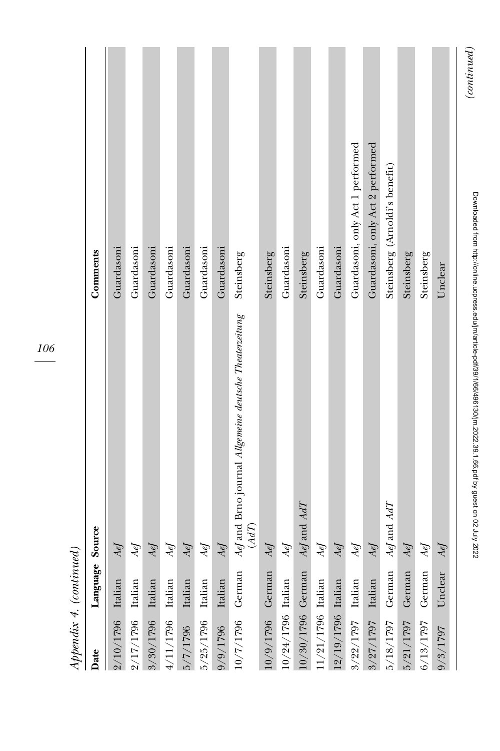| $\overline{11}$      |          | ì                                                                                                              |                                  |
|----------------------|----------|----------------------------------------------------------------------------------------------------------------|----------------------------------|
| Date                 | Language | Source                                                                                                         | Comments                         |
| $2/10/1796$ Italian  |          | AeJ                                                                                                            | Guardasoni                       |
| $2/17/1796$ Italian  |          | AeJ                                                                                                            | Guardasoni                       |
| $3/30/1796$ Italian  |          | Aef                                                                                                            | Guardasoni                       |
| $4/11/1796$ Italian  |          | AeJ                                                                                                            | Guardasoni                       |
| $5/7/1796$ Italian   |          | $Aef$                                                                                                          | Guardasoni                       |
| $5/25/1796$ Italian  |          | AeJ                                                                                                            | Guardasoni                       |
| $9/9/1796$ Italian   |          | Aef                                                                                                            | Guardasoni                       |
| 10/7/1796 German     |          | AeJ and Brno journal Allgemeine deutsche Theaterzeitung<br>(AdT)                                               | Steinsberg                       |
| $10/9/1796$ German   |          | Aef                                                                                                            | Steinsberg                       |
| $10/24/1796$ Italian |          | AeJ                                                                                                            | Guardasoni                       |
| 10/30/1796 German    |          | $Aef$ and $AdT$                                                                                                | Steinsberg                       |
| $11/21/1796$ Italian |          | AeJ                                                                                                            | Guardasoni                       |
| 12/19/1796 Italian   |          | Aef                                                                                                            | Guardasoni                       |
| $3/22/1797$ Italian  |          | AeJ                                                                                                            | Guardasoni, only Act 1 performed |
| $3/27/1797$ Italian  |          | Aef                                                                                                            | Guardasoni, only Act 2 performed |
| 5/18/1797 German     |          | $Aef$ and $AdT$                                                                                                | Steinsberg (Arnoldi's benefit)   |
| 5/21/1797 German     |          | Aef                                                                                                            | Steinsberg                       |
| 6/13/1797 German     |          | AeJ                                                                                                            | Steinsberg                       |
| 9/3/1797             | Unclear  | AeJ                                                                                                            | Unclear                          |
|                      |          | umadeu iluli lilip iluli lilip sestempi lilip iluli sestempi sestenti kontroli lilip sestenti na passi oli och | (continued)                      |

Downloaded from http://online.ucpress.edu/jm/article-pdf/39/1/66/496130/jm.2022.39.1.66.pdf by guest on 02 July 2022

Downloaded from http://online.ucpress.edu/jm/article-pdf139/1/66/496130/jm.2022.39.1.66.pdf by guest on 02 July 2022

106

Appendix 4. (continued) Appendix 4. (continued)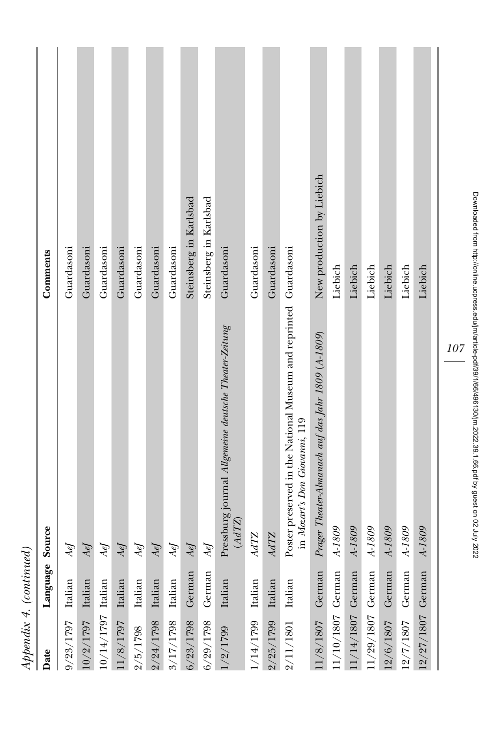| Comments | Guardasoni          | Guardasoni          | Guardasoni           | Guardasoni       | Guardasoni | Guardasoni          | Guardasoni          | Steinsberg in Karlsbad | Steinsberg in Karlsbad | Guardasoni<br>Pressburg journal Allgemeine deutsche Theater-Zeitung | Guardasoni         | Guardasoni          | Poster preserved in the National Museum and reprinted Guardasoni | New production by Liebich<br>Prager Theater-Almanach auf das Jahr 1809 (A-1809) | Liebich          | Liebich          | Liebich            | Liebich            | Liebich   | Liebich           |
|----------|---------------------|---------------------|----------------------|------------------|------------|---------------------|---------------------|------------------------|------------------------|---------------------------------------------------------------------|--------------------|---------------------|------------------------------------------------------------------|---------------------------------------------------------------------------------|------------------|------------------|--------------------|--------------------|-----------|-------------------|
| Source   | AeJ                 | AeJ                 | AeJ                  | AeJ              | AeJ        | AeJ                 | AeJ                 | AeJ                    | AeJ                    | (AGIZ)                                                              | AdTZ               | AdTZ                | in Mozart's Don Giovanni, 119                                    |                                                                                 | A-1809           | $A-1809$         | $A-1809$           | A-1809             | A-1809    | A-1809            |
| Language |                     |                     |                      |                  | Italian    |                     |                     |                        |                        | Italian                                                             |                    |                     |                                                                  |                                                                                 |                  |                  |                    |                    | German    |                   |
| Date     | $9/23/1797$ Italian | $10/2/1797$ Italian | $10/14/1797$ Italian | 1/8/1797 Italian | 2/5/1798   | $2/24/1798$ Italian | $3/17/1798$ Italian | 6/23/1798 German       | 6/29/1798 German       | /2/1799                                                             | $/14/1799$ Italian | $2/25/1799$ Italian | 2/11/1801 Italian                                                | 1/8/1807 German                                                                 | 1/10/1807 German | 1/14/1807 German | $1/29/1807$ German | $12/6/1807$ German | 12/7/1807 | 12/27/1807 German |

Appendix 4. (continued)

 $\label{proba} Appendix~4.~(continued)$ 

Downloaded from http://online.ucpress.edu/jm/article-pdf139/1/66/496130/jm.2022.39.1.66.pdf by guest on 02 July 2022 Downloaded from http://online.ucpress.edu/jm/article-pdf/39/1/66/496130/jm.2022.39.1.66.pdf by guest on 02 July 2022